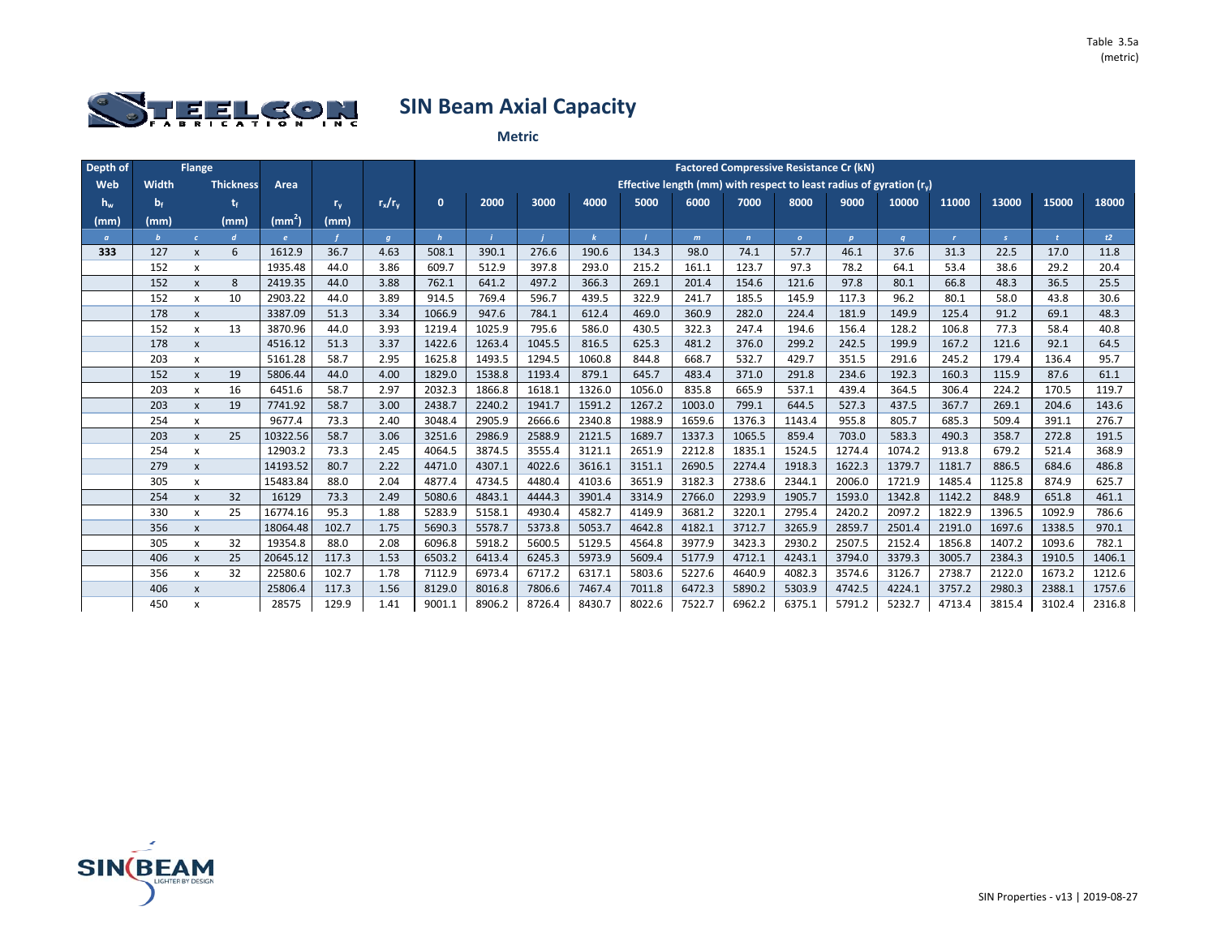

| Depth of |                | <b>Flange</b>             |                  |                 |         |                |              |        |        |              |        |        |              | <b>Factored Compressive Resistance Cr (kN)</b>                      |                  |        |              |              |        |        |
|----------|----------------|---------------------------|------------------|-----------------|---------|----------------|--------------|--------|--------|--------------|--------|--------|--------------|---------------------------------------------------------------------|------------------|--------|--------------|--------------|--------|--------|
| Web      | Width          |                           | <b>Thickness</b> | Area            |         |                |              |        |        |              |        |        |              | Effective length (mm) with respect to least radius of gyration (r.) |                  |        |              |              |        |        |
| $h_w$    | b <sub>f</sub> |                           | t,               |                 | $r_{v}$ | $r_x/r_y$      | $\mathbf{0}$ | 2000   | 3000   | 4000         | 5000   | 6000   | 7000         | 8000                                                                | 9000             | 10000  | 11000        | 13000        | 15000  | 18000  |
| (mm)     | (mm)           |                           | (mm)             | $\text{(mm}^2)$ | (mm)    |                |              |        |        |              |        |        |              |                                                                     |                  |        |              |              |        |        |
| $\alpha$ | $\mathbf{b}$   | $\epsilon$                | $\overline{d}$   | $\epsilon$      |         | $\overline{q}$ |              |        |        | $\mathbf{k}$ |        | m      | $\mathbf{n}$ | $\Omega$                                                            | $\boldsymbol{p}$ | q      | $\mathbf{r}$ | $\mathbf{s}$ |        | t2     |
| 333      | 127            | $\pmb{\mathsf{x}}$        | 6                | 1612.9          | 36.7    | 4.63           | 508.1        | 390.1  | 276.6  | 190.6        | 134.3  | 98.0   | 74.1         | 57.7                                                                | 46.1             | 37.6   | 31.3         | 22.5         | 17.0   | 11.8   |
|          | 152            | $\boldsymbol{\mathsf{x}}$ |                  | 1935.48         | 44.0    | 3.86           | 609.7        | 512.9  | 397.8  | 293.0        | 215.2  | 161.1  | 123.7        | 97.3                                                                | 78.2             | 64.1   | 53.4         | 38.6         | 29.2   | 20.4   |
|          | 152            | $\boldsymbol{\mathsf{x}}$ | 8                | 2419.35         | 44.0    | 3.88           | 762.1        | 641.2  | 497.2  | 366.3        | 269.1  | 201.4  | 154.6        | 121.6                                                               | 97.8             | 80.1   | 66.8         | 48.3         | 36.5   | 25.5   |
|          | 152            | $\mathsf{x}$              | 10               | 2903.22         | 44.0    | 3.89           | 914.5        | 769.4  | 596.7  | 439.5        | 322.9  | 241.7  | 185.5        | 145.9                                                               | 117.3            | 96.2   | 80.1         | 58.0         | 43.8   | 30.6   |
|          | 178            | X                         |                  | 3387.09         | 51.3    | 3.34           | 1066.9       | 947.6  | 784.1  | 612.4        | 469.0  | 360.9  | 282.0        | 224.4                                                               | 181.9            | 149.9  | 125.4        | 91.2         | 69.1   | 48.3   |
|          | 152            | $\mathsf{x}$              | 13               | 3870.96         | 44.0    | 3.93           | 1219.4       | 1025.9 | 795.6  | 586.0        | 430.5  | 322.3  | 247.4        | 194.6                                                               | 156.4            | 128.2  | 106.8        | 77.3         | 58.4   | 40.8   |
|          | 178            | $\pmb{\mathsf{x}}$        |                  | 4516.12         | 51.3    | 3.37           | 1422.6       | 1263.4 | 1045.5 | 816.5        | 625.3  | 481.2  | 376.0        | 299.2                                                               | 242.5            | 199.9  | 167.2        | 121.6        | 92.1   | 64.5   |
|          | 203            | x                         |                  | 5161.28         | 58.7    | 2.95           | 1625.8       | 1493.5 | 1294.5 | 1060.8       | 844.8  | 668.7  | 532.7        | 429.7                                                               | 351.5            | 291.6  | 245.2        | 179.4        | 136.4  | 95.7   |
|          | 152            | $\pmb{\mathsf{x}}$        | 19               | 5806.44         | 44.0    | 4.00           | 1829.0       | 1538.8 | 1193.4 | 879.1        | 645.7  | 483.4  | 371.0        | 291.8                                                               | 234.6            | 192.3  | 160.3        | 115.9        | 87.6   | 61.1   |
|          | 203            | x                         | 16               | 6451.6          | 58.7    | 2.97           | 2032.3       | 1866.8 | 1618.1 | 1326.0       | 1056.0 | 835.8  | 665.9        | 537.1                                                               | 439.4            | 364.5  | 306.4        | 224.2        | 170.5  | 119.7  |
|          | 203            | $\mathsf{x}$              | 19               | 7741.92         | 58.7    | 3.00           | 2438.7       | 2240.2 | 1941.7 | 1591.2       | 1267.2 | 1003.0 | 799.1        | 644.5                                                               | 527.3            | 437.5  | 367.7        | 269.1        | 204.6  | 143.6  |
|          | 254            | $\pmb{\mathsf{x}}$        |                  | 9677.4          | 73.3    | 2.40           | 3048.4       | 2905.9 | 2666.6 | 2340.8       | 1988.9 | 1659.6 | 1376.3       | 1143.4                                                              | 955.8            | 805.7  | 685.3        | 509.4        | 391.1  | 276.7  |
|          | 203            | $\mathsf{x}$              | 25               | 10322.56        | 58.7    | 3.06           | 3251.6       | 2986.9 | 2588.9 | 2121.5       | 1689.7 | 1337.3 | 1065.5       | 859.4                                                               | 703.0            | 583.3  | 490.3        | 358.7        | 272.8  | 191.5  |
|          | 254            | x                         |                  | 12903.2         | 73.3    | 2.45           | 4064.5       | 3874.5 | 3555.4 | 3121.1       | 2651.9 | 2212.8 | 1835.1       | 1524.5                                                              | 1274.4           | 1074.2 | 913.8        | 679.2        | 521.4  | 368.9  |
|          | 279            | $\pmb{\times}$            |                  | 14193.52        | 80.7    | 2.22           | 4471.0       | 4307.1 | 4022.6 | 3616.1       | 3151.1 | 2690.5 | 2274.4       | 1918.3                                                              | 1622.3           | 1379.7 | 1181.7       | 886.5        | 684.6  | 486.8  |
|          | 305            | $\pmb{\mathsf{x}}$        |                  | 15483.84        | 88.0    | 2.04           | 4877.4       | 4734.5 | 4480.4 | 4103.6       | 3651.9 | 3182.3 | 2738.6       | 2344.1                                                              | 2006.0           | 1721.9 | 1485.4       | 1125.8       | 874.9  | 625.7  |
|          | 254            | $\pmb{\mathsf{x}}$        | 32               | 16129           | 73.3    | 2.49           | 5080.6       | 4843.1 | 4444.3 | 3901.4       | 3314.9 | 2766.0 | 2293.9       | 1905.7                                                              | 1593.0           | 1342.8 | 1142.2       | 848.9        | 651.8  | 461.1  |
|          | 330            | $\pmb{\times}$            | 25               | 16774.16        | 95.3    | 1.88           | 5283.9       | 5158.1 | 4930.4 | 4582.7       | 4149.9 | 3681.2 | 3220.1       | 2795.4                                                              | 2420.2           | 2097.2 | 1822.9       | 1396.5       | 1092.9 | 786.6  |
|          | 356            | $\pmb{\chi}$              |                  | 18064.48        | 102.7   | 1.75           | 5690.3       | 5578.7 | 5373.8 | 5053.7       | 4642.8 | 4182.1 | 3712.7       | 3265.9                                                              | 2859.7           | 2501.4 | 2191.0       | 1697.6       | 1338.5 | 970.1  |
|          | 305            | X                         | 32               | 19354.8         | 88.0    | 2.08           | 6096.8       | 5918.2 | 5600.5 | 5129.5       | 4564.8 | 3977.9 | 3423.3       | 2930.2                                                              | 2507.5           | 2152.4 | 1856.8       | 1407.2       | 1093.6 | 782.1  |
|          | 406            | $\boldsymbol{\mathsf{x}}$ | 25               | 20645.12        | 117.3   | 1.53           | 6503.2       | 6413.4 | 6245.3 | 5973.9       | 5609.4 | 5177.9 | 4712.1       | 4243.1                                                              | 3794.0           | 3379.3 | 3005.7       | 2384.3       | 1910.5 | 1406.1 |
|          | 356            | x                         | 32               | 22580.6         | 102.7   | 1.78           | 7112.9       | 6973.4 | 6717.2 | 6317.1       | 5803.6 | 5227.6 | 4640.9       | 4082.3                                                              | 3574.6           | 3126.7 | 2738.7       | 2122.0       | 1673.2 | 1212.6 |
|          | 406            | $\boldsymbol{\mathsf{x}}$ |                  | 25806.4         | 117.3   | 1.56           | 8129.0       | 8016.8 | 7806.6 | 7467.4       | 7011.8 | 6472.3 | 5890.2       | 5303.9                                                              | 4742.5           | 4224.1 | 3757.2       | 2980.3       | 2388.1 | 1757.6 |
|          | 450            | x                         |                  | 28575           | 129.9   | 1.41           | 9001.1       | 8906.2 | 8726.4 | 8430.7       | 8022.6 | 7522.7 | 6962.2       | 6375.1                                                              | 5791.2           | 5232.7 | 4713.4       | 3815.4       | 3102.4 | 2316.8 |

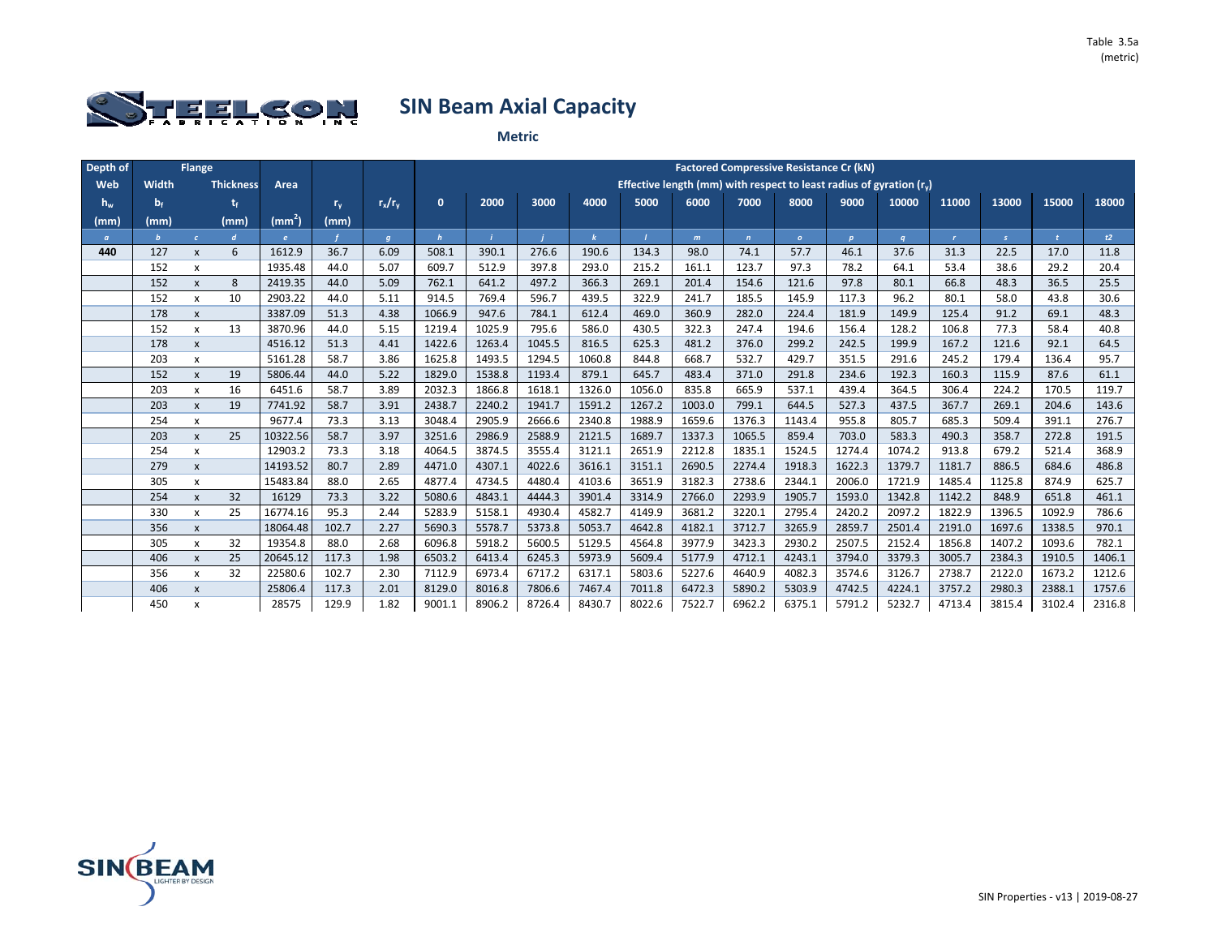

| Depth of |                         | <b>Flange</b>             |                  |                     |               |              |                  |                  |                  |                  |                  |                                                                     | <b>Factored Compressive Resistance Cr (kN)</b> |                  |                  |                  |                  |                  |                  |                |
|----------|-------------------------|---------------------------|------------------|---------------------|---------------|--------------|------------------|------------------|------------------|------------------|------------------|---------------------------------------------------------------------|------------------------------------------------|------------------|------------------|------------------|------------------|------------------|------------------|----------------|
| Web      | Width                   |                           | <b>Thickness</b> | Area                |               |              |                  |                  |                  |                  |                  | Effective length (mm) with respect to least radius of gyration (r.) |                                                |                  |                  |                  |                  |                  |                  |                |
| $h_w$    | $\mathbf{b}_{\text{f}}$ |                           | t,               |                     | $r_{v}$       | $r_x/r_y$    | $\mathbf{0}$     | 2000             | 3000             | 4000             | 5000             | 6000                                                                | 7000                                           | 8000             | 9000             | 10000            | 11000            | 13000            | 15000            | 18000          |
| (mm)     | (mm)                    |                           | (mm)             | $\text{(mm}^2)$     | (mm)          |              |                  |                  |                  |                  |                  |                                                                     |                                                |                  |                  |                  |                  |                  |                  |                |
| $\sigma$ |                         | $\epsilon$                | $\boldsymbol{d}$ | $\mathbf{r}$        |               | $\sigma$     | $\overline{h}$   |                  |                  |                  |                  | m                                                                   | $\mathbf{n}$                                   | $\sigma$         | $\mathbf{p}$     | $\mathfrak{a}$   | $\mathbf{r}$     | $\mathcal{S}$    |                  | t2             |
| 440      | 127                     | $\pmb{\mathsf{x}}$        | 6                | 1612.9              | 36.7          | 6.09         | 508.1            | 390.1            | 276.6            | 190.6            | 134.3            | 98.0                                                                | 74.1                                           | 57.7             | 46.1             | 37.6             | 31.3             | 22.5             | 17.0             | 11.8           |
|          | 152                     | X                         |                  | 1935.48             | 44.0          | 5.07         | 609.7            | 512.9            | 397.8            | 293.0            | 215.2            | 161.1                                                               | 123.7                                          | 97.3             | 78.2             | 64.1             | 53.4             | 38.6             | 29.2             | 20.4           |
|          | 152                     | $\pmb{\mathsf{x}}$        | 8                | 2419.35             | 44.0          | 5.09         | 762.1            | 641.2            | 497.2            | 366.3            | 269.1            | 201.4                                                               | 154.6                                          | 121.6            | 97.8             | 80.1             | 66.8             | 48.3             | 36.5             | 25.5           |
|          | 152                     | $\mathsf{x}$              | 10               | 2903.22             | 44.0          | 5.11         | 914.5            | 769.4            | 596.7            | 439.5            | 322.9            | 241.7                                                               | 185.5                                          | 145.9            | 117.3            | 96.2             | 80.1             | 58.0             | 43.8             | 30.6           |
|          | 178                     | X                         |                  | 3387.09             | 51.3          | 4.38         | 1066.9           | 947.6            | 784.1            | 612.4            | 469.0            | 360.9                                                               | 282.0                                          | 224.4            | 181.9            | 149.9            | 125.4            | 91.2             | 69.1             | 48.3           |
|          | 152                     | $\mathsf{x}$              | 13               | 3870.96             | 44.0          | 5.15         | 1219.4           | 1025.9           | 795.6            | 586.0            | 430.5            | 322.3                                                               | 247.4                                          | 194.6            | 156.4            | 128.2            | 106.8            | 77.3             | 58.4             | 40.8           |
|          | 178                     | $\pmb{\mathsf{x}}$        |                  | 4516.12             | 51.3          | 4.41         | 1422.6           | 1263.4           | 1045.5           | 816.5            | 625.3            | 481.2                                                               | 376.0                                          | 299.2            | 242.5            | 199.9            | 167.2            | 121.6            | 92.1             | 64.5           |
|          | 203                     | X                         |                  | 5161.28             | 58.7          | 3.86         | 1625.8           | 1493.5           | 1294.5           | 1060.8           | 844.8            | 668.7                                                               | 532.7                                          | 429.7            | 351.5            | 291.6            | 245.2            | 179.4            | 136.4            | 95.7           |
|          | 152                     | $\pmb{\mathsf{x}}$        | 19               | 5806.44             | 44.0          | 5.22         | 1829.0           | 1538.8           | 1193.4           | 879.1            | 645.7            | 483.4                                                               | 371.0                                          | 291.8            | 234.6            | 192.3            | 160.3            | 115.9            | 87.6             | 61.1           |
|          | 203                     | X                         | 16               | 6451.6              | 58.7          | 3.89         | 2032.3           | 1866.8           | 1618.1           | 1326.0           | 1056.0           | 835.8                                                               | 665.9                                          | 537.1            | 439.4            | 364.5            | 306.4            | 224.2            | 170.5            | 119.7          |
|          | 203                     | $\pmb{\times}$            | 19               | 7741.92             | 58.7          | 3.91         | 2438.7           | 2240.2           | 1941.7           | 1591.2           | 1267.2           | 1003.0                                                              | 799.1                                          | 644.5            | 527.3            | 437.5            | 367.7            | 269.1            | 204.6            | 143.6          |
|          | 254                     | X                         |                  | 9677.4              | 73.3          | 3.13         | 3048.4           | 2905.9           | 2666.6           | 2340.8           | 1988.9           | 1659.6                                                              | 1376.3                                         | 1143.4           | 955.8            | 805.7            | 685.3            | 509.4            | 391.1            | 276.7          |
|          | 203                     | $\mathsf{x}$              | 25               | 10322.56            | 58.7          | 3.97         | 3251.6           | 2986.9           | 2588.9           | 2121.5           | 1689.7           | 1337.3                                                              | 1065.5                                         | 859.4            | 703.0            | 583.3            | 490.3            | 358.7            | 272.8            | 191.5          |
|          | 254                     | X                         |                  | 12903.2             | 73.3          | 3.18         | 4064.5           | 3874.5           | 3555.4           | 3121.1           | 2651.9           | 2212.8                                                              | 1835.1                                         | 1524.5           | 1274.4           | 1074.2           | 913.8            | 679.2            | 521.4            | 368.9          |
|          | 279                     | $\mathsf{x}$              |                  | 14193.52            | 80.7          | 2.89         | 4471.0           | 4307.1           | 4022.6           | 3616.1           | 3151.1           | 2690.5                                                              | 2274.4                                         | 1918.3           | 1622.3           | 1379.7           | 1181.7           | 886.5            | 684.6            | 486.8          |
|          | 305                     | X                         |                  | 15483.84            | 88.0          | 2.65         | 4877.4           | 4734.5           | 4480.4           | 4103.6           | 3651.9           | 3182.3                                                              | 2738.6                                         | 2344.1           | 2006.0           | 1721.9           | 1485.4           | 1125.8           | 874.9            | 625.7          |
|          | 254                     | $\pmb{\mathsf{x}}$        | 32               | 16129               | 73.3          | 3.22         | 5080.6           | 4843.1           | 4444.3           | 3901.4           | 3314.9           | 2766.0                                                              | 2293.9                                         | 1905.7           | 1593.0           | 1342.8           | 1142.2           | 848.9            | 651.8            | 461.1          |
|          | 330                     | X                         | 25               | 16774.16            | 95.3          | 2.44         | 5283.9           | 5158.1           | 4930.4           | 4582.7           | 4149.9           | 3681.2                                                              | 3220.1                                         | 2795.4           | 2420.2           | 2097.2           | 1822.9           | 1396.5           | 1092.9           | 786.6          |
|          | 356                     | X                         | 32               | 18064.48            | 102.7<br>88.0 | 2.27<br>2.68 | 5690.3<br>6096.8 | 5578.7<br>5918.2 | 5373.8<br>5600.5 | 5053.7<br>5129.5 | 4642.8<br>4564.8 | 4182.1                                                              | 3712.7<br>3423.3                               | 3265.9<br>2930.2 | 2859.7<br>2507.5 | 2501.4<br>2152.4 | 2191.0<br>1856.8 | 1697.6<br>1407.2 | 1338.5<br>1093.6 | 970.1<br>782.1 |
|          | 305<br>406              | X                         |                  | 19354.8<br>20645.12 | 117.3         | 1.98         | 6503.2           | 6413.4           | 6245.3           | 5973.9           | 5609.4           | 3977.9<br>5177.9                                                    | 4712.1                                         | 4243.1           | 3794.0           | 3379.3           | 3005.7           | 2384.3           | 1910.5           | 1406.1         |
|          | 356                     | $\pmb{\mathsf{x}}$<br>X   | 25<br>32         | 22580.6             | 102.7         | 2.30         | 7112.9           | 6973.4           | 6717.2           | 6317.1           | 5803.6           | 5227.6                                                              | 4640.9                                         | 4082.3           | 3574.6           | 3126.7           | 2738.7           | 2122.0           | 1673.2           | 1212.6         |
|          | 406                     | $\pmb{\mathsf{x}}$        |                  | 25806.4             | 117.3         | 2.01         | 8129.0           | 8016.8           | 7806.6           | 7467.4           | 7011.8           | 6472.3                                                              | 5890.2                                         | 5303.9           | 4742.5           | 4224.1           | 3757.2           | 2980.3           | 2388.1           | 1757.6         |
|          | 450                     | $\boldsymbol{\mathsf{x}}$ |                  | 28575               | 129.9         | 1.82         | 9001.1           | 8906.2           | 8726.4           | 8430.7           | 8022.6           | 7522.7                                                              | 6962.2                                         | 6375.1           | 5791.2           | 5232.7           | 4713.4           | 3815.4           | 3102.4           | 2316.8         |
|          |                         |                           |                  |                     |               |              |                  |                  |                  |                  |                  |                                                                     |                                                |                  |                  |                  |                  |                  |                  |                |

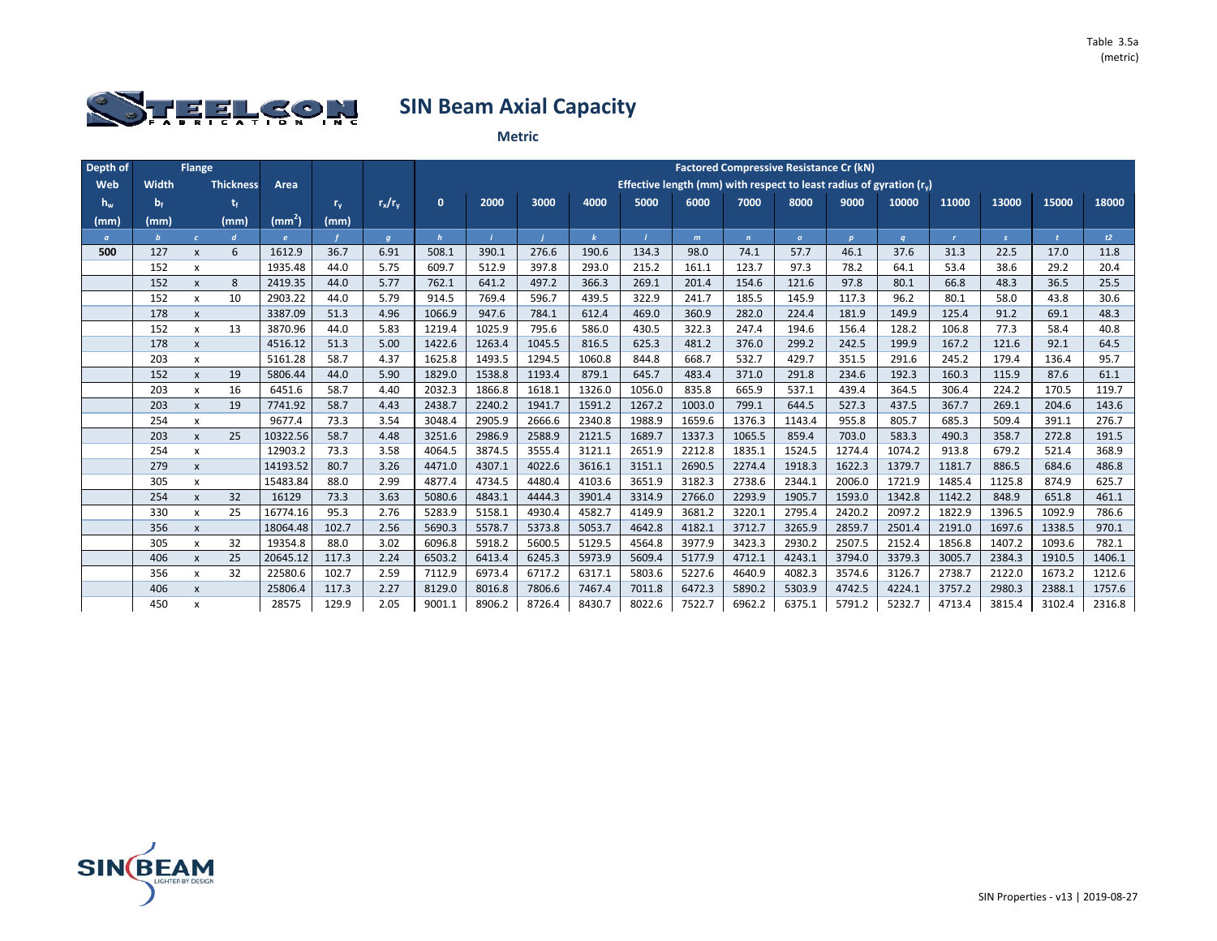

| Depth of |                | <b>Flange</b>             |                  |                 |             |                |                |        |        |              |        |        |              | <b>Factored Compressive Resistance Cr (kN)</b>                      |                  |          |              |               |        |        |
|----------|----------------|---------------------------|------------------|-----------------|-------------|----------------|----------------|--------|--------|--------------|--------|--------|--------------|---------------------------------------------------------------------|------------------|----------|--------------|---------------|--------|--------|
| Web      | Width          |                           | <b>Thickness</b> | Area            |             |                |                |        |        |              |        |        |              | Effective length (mm) with respect to least radius of gyration (r.) |                  |          |              |               |        |        |
| $h_w$    | b <sub>f</sub> |                           | t,               |                 | $r_{\rm v}$ | $r_x/r_y$      | $\mathbf{0}$   | 2000   | 3000   | 4000         | 5000   | 6000   | 7000         | 8000                                                                | 9000             | 10000    | 11000        | 13000         | 15000  | 18000  |
| (mm)     | (mm)           |                           | (mm)             | $\text{(mm}^2)$ | (mm)        |                |                |        |        |              |        |        |              |                                                                     |                  |          |              |               |        |        |
| $\alpha$ | $\mathbf b$    | $\epsilon$                | $\overline{d}$   | $\epsilon$      |             | $\overline{q}$ | $\overline{h}$ |        |        | $\mathbf{k}$ |        | m      | $\mathbf{n}$ | $\overline{O}$                                                      | $\boldsymbol{p}$ | $\sigma$ | $\mathbf{r}$ | $\mathcal{S}$ |        | t2     |
| 500      | 127            | $\pmb{\chi}$              | 6                | 1612.9          | 36.7        | 6.91           | 508.1          | 390.1  | 276.6  | 190.6        | 134.3  | 98.0   | 74.1         | 57.7                                                                | 46.1             | 37.6     | 31.3         | 22.5          | 17.0   | 11.8   |
|          | 152            | X                         |                  | 1935.48         | 44.0        | 5.75           | 609.7          | 512.9  | 397.8  | 293.0        | 215.2  | 161.1  | 123.7        | 97.3                                                                | 78.2             | 64.1     | 53.4         | 38.6          | 29.2   | 20.4   |
|          | 152            | $\pmb{\mathsf{x}}$        | 8                | 2419.35         | 44.0        | 5.77           | 762.1          | 641.2  | 497.2  | 366.3        | 269.1  | 201.4  | 154.6        | 121.6                                                               | 97.8             | 80.1     | 66.8         | 48.3          | 36.5   | 25.5   |
|          | 152            | $\mathsf{x}$              | 10               | 2903.22         | 44.0        | 5.79           | 914.5          | 769.4  | 596.7  | 439.5        | 322.9  | 241.7  | 185.5        | 145.9                                                               | 117.3            | 96.2     | 80.1         | 58.0          | 43.8   | 30.6   |
|          | 178            | $\pmb{\times}$            |                  | 3387.09         | 51.3        | 4.96           | 1066.9         | 947.6  | 784.1  | 612.4        | 469.0  | 360.9  | 282.0        | 224.4                                                               | 181.9            | 149.9    | 125.4        | 91.2          | 69.1   | 48.3   |
|          | 152            | $\mathsf{x}$              | 13               | 3870.96         | 44.0        | 5.83           | 1219.4         | 1025.9 | 795.6  | 586.0        | 430.5  | 322.3  | 247.4        | 194.6                                                               | 156.4            | 128.2    | 106.8        | 77.3          | 58.4   | 40.8   |
|          | 178            | $\pmb{\chi}$              |                  | 4516.12         | 51.3        | 5.00           | 1422.6         | 1263.4 | 1045.5 | 816.5        | 625.3  | 481.2  | 376.0        | 299.2                                                               | 242.5            | 199.9    | 167.2        | 121.6         | 92.1   | 64.5   |
|          | 203            | x                         |                  | 5161.28         | 58.7        | 4.37           | 1625.8         | 1493.5 | 1294.5 | 1060.8       | 844.8  | 668.7  | 532.7        | 429.7                                                               | 351.5            | 291.6    | 245.2        | 179.4         | 136.4  | 95.7   |
|          | 152            | X                         | 19               | 5806.44         | 44.0        | 5.90           | 1829.0         | 1538.8 | 1193.4 | 879.1        | 645.7  | 483.4  | 371.0        | 291.8                                                               | 234.6            | 192.3    | 160.3        | 115.9         | 87.6   | 61.1   |
|          | 203            | $\mathsf{x}$              | 16               | 6451.6          | 58.7        | 4.40           | 2032.3         | 1866.8 | 1618.1 | 1326.0       | 1056.0 | 835.8  | 665.9        | 537.1                                                               | 439.4            | 364.5    | 306.4        | 224.2         | 170.5  | 119.7  |
|          | 203            | $\mathsf{x}$              | 19               | 7741.92         | 58.7        | 4.43           | 2438.7         | 2240.2 | 1941.7 | 1591.2       | 1267.2 | 1003.0 | 799.1        | 644.5                                                               | 527.3            | 437.5    | 367.7        | 269.1         | 204.6  | 143.6  |
|          | 254            | X                         |                  | 9677.4          | 73.3        | 3.54           | 3048.4         | 2905.9 | 2666.6 | 2340.8       | 1988.9 | 1659.6 | 1376.3       | 1143.4                                                              | 955.8            | 805.7    | 685.3        | 509.4         | 391.1  | 276.7  |
|          | 203            | $\pmb{\times}$            | 25               | 10322.56        | 58.7        | 4.48           | 3251.6         | 2986.9 | 2588.9 | 2121.5       | 1689.7 | 1337.3 | 1065.5       | 859.4                                                               | 703.0            | 583.3    | 490.3        | 358.7         | 272.8  | 191.5  |
|          | 254            | x                         |                  | 12903.2         | 73.3        | 3.58           | 4064.5         | 3874.5 | 3555.4 | 3121.1       | 2651.9 | 2212.8 | 1835.1       | 1524.5                                                              | 1274.4           | 1074.2   | 913.8        | 679.2         | 521.4  | 368.9  |
|          | 279            | $\mathsf{x}$              |                  | 14193.52        | 80.7        | 3.26           | 4471.0         | 4307.1 | 4022.6 | 3616.1       | 3151.1 | 2690.5 | 2274.4       | 1918.3                                                              | 1622.3           | 1379.7   | 1181.7       | 886.5         | 684.6  | 486.8  |
|          | 305            | $\mathsf{x}$              |                  | 15483.84        | 88.0        | 2.99           | 4877.4         | 4734.5 | 4480.4 | 4103.6       | 3651.9 | 3182.3 | 2738.6       | 2344.1                                                              | 2006.0           | 1721.9   | 1485.4       | 1125.8        | 874.9  | 625.7  |
|          | 254            | $\mathsf{x}$              | 32               | 16129           | 73.3        | 3.63           | 5080.6         | 4843.1 | 4444.3 | 3901.4       | 3314.9 | 2766.0 | 2293.9       | 1905.7                                                              | 1593.0           | 1342.8   | 1142.2       | 848.9         | 651.8  | 461.1  |
|          | 330            | $\mathsf{x}$              | 25               | 16774.16        | 95.3        | 2.76           | 5283.9         | 5158.1 | 4930.4 | 4582.7       | 4149.9 | 3681.2 | 3220.1       | 2795.4                                                              | 2420.2           | 2097.2   | 1822.9       | 1396.5        | 1092.9 | 786.6  |
|          | 356            | $\pmb{\chi}$              |                  | 18064.48        | 102.7       | 2.56           | 5690.3         | 5578.7 | 5373.8 | 5053.7       | 4642.8 | 4182.1 | 3712.7       | 3265.9                                                              | 2859.7           | 2501.4   | 2191.0       | 1697.6        | 1338.5 | 970.1  |
|          | 305            | $\mathsf{x}$              | 32               | 19354.8         | 88.0        | 3.02           | 6096.8         | 5918.2 | 5600.5 | 5129.5       | 4564.8 | 3977.9 | 3423.3       | 2930.2                                                              | 2507.5           | 2152.4   | 1856.8       | 1407.2        | 1093.6 | 782.1  |
|          | 406            | X                         | 25               | 20645.12        | 117.3       | 2.24           | 6503.2         | 6413.4 | 6245.3 | 5973.9       | 5609.4 | 5177.9 | 4712.1       | 4243.1                                                              | 3794.0           | 3379.3   | 3005.7       | 2384.3        | 1910.5 | 1406.1 |
|          | 356            | x                         | 32               | 22580.6         | 102.7       | 2.59           | 7112.9         | 6973.4 | 6717.2 | 6317.1       | 5803.6 | 5227.6 | 4640.9       | 4082.3                                                              | 3574.6           | 3126.7   | 2738.7       | 2122.0        | 1673.2 | 1212.6 |
|          | 406            | $\boldsymbol{\mathsf{x}}$ |                  | 25806.4         | 117.3       | 2.27           | 8129.0         | 8016.8 | 7806.6 | 7467.4       | 7011.8 | 6472.3 | 5890.2       | 5303.9                                                              | 4742.5           | 4224.1   | 3757.2       | 2980.3        | 2388.1 | 1757.6 |
|          | 450            | x                         |                  | 28575           | 129.9       | 2.05           | 9001.1         | 8906.2 | 8726.4 | 8430.7       | 8022.6 | 7522.7 | 6962.2       | 6375.1                                                              | 5791.2           | 5232.7   | 4713.4       | 3815.4        | 3102.4 | 2316.8 |

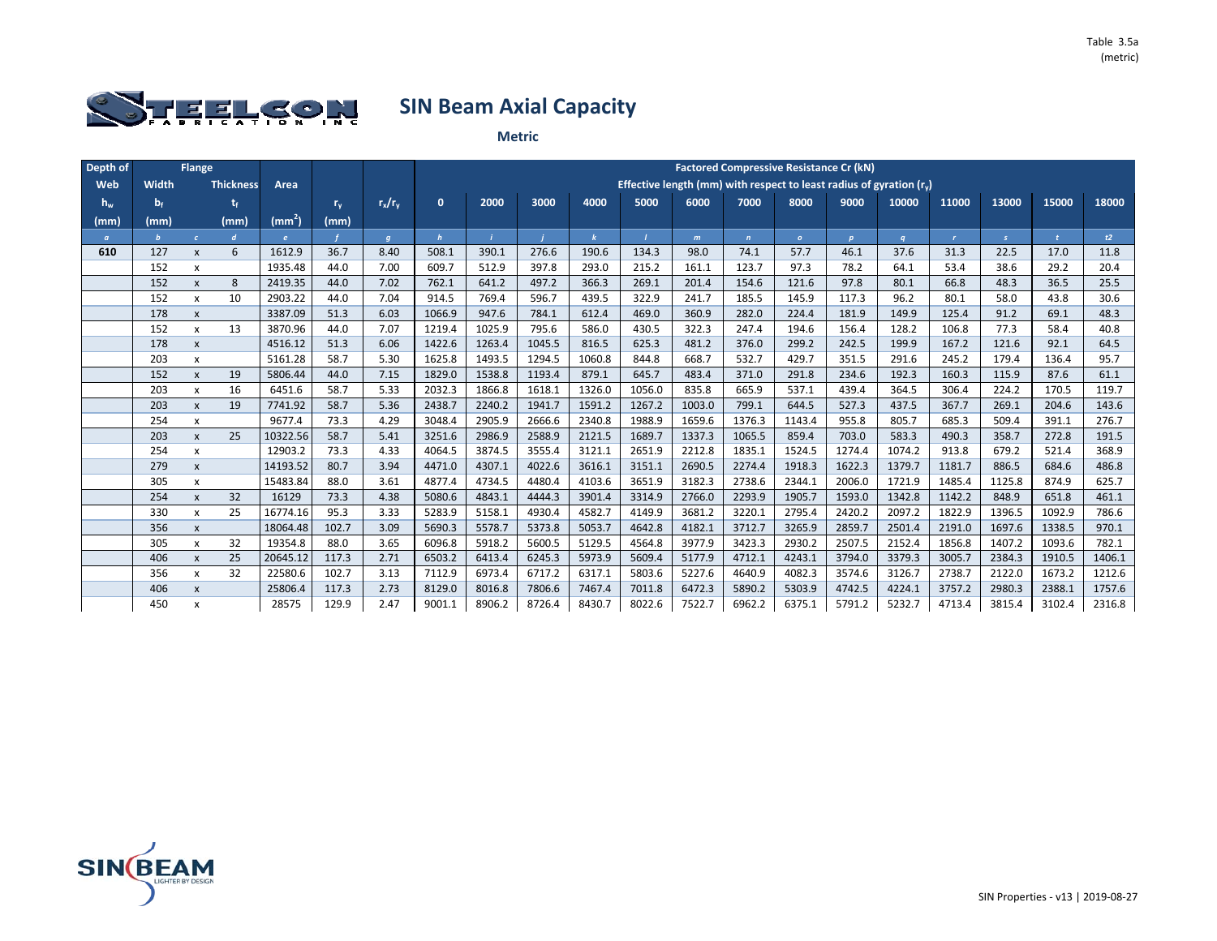

| Depth of |                         | <b>Flange</b>      |                  |                    |         |                |                |        |        |              |        |        | <b>Factored Compressive Resistance Cr (kN)</b>                      |                |                  |        |              |               |        |        |
|----------|-------------------------|--------------------|------------------|--------------------|---------|----------------|----------------|--------|--------|--------------|--------|--------|---------------------------------------------------------------------|----------------|------------------|--------|--------------|---------------|--------|--------|
| Web      | Width                   |                    | <b>Thickness</b> | Area               |         |                |                |        |        |              |        |        | Effective length (mm) with respect to least radius of gyration (r.) |                |                  |        |              |               |        |        |
| $h_w$    | $\mathbf{b}_{\text{f}}$ |                    | t,               |                    | $r_{v}$ | $r_x/r_v$      | $\mathbf{0}$   | 2000   | 3000   | 4000         | 5000   | 6000   | 7000                                                                | 8000           | 9000             | 10000  | 11000        | 13000         | 15000  | 18000  |
| (mm)     | (mm)                    |                    | (mm)             | (mm <sup>2</sup> ) | (mm)    |                |                |        |        |              |        |        |                                                                     |                |                  |        |              |               |        |        |
| $\sigma$ |                         | $\epsilon$         | $\boldsymbol{d}$ | $\epsilon$         |         | $\overline{a}$ | $\overline{h}$ |        |        | $\mathbf{k}$ |        | m      | $\mathbf{n}$                                                        | $\overline{a}$ | $\boldsymbol{p}$ | q      | $\mathbf{r}$ | $\mathcal{S}$ |        | t2     |
| 610      | 127                     | $\pmb{\mathsf{x}}$ | 6                | 1612.9             | 36.7    | 8.40           | 508.1          | 390.1  | 276.6  | 190.6        | 134.3  | 98.0   | 74.1                                                                | 57.7           | 46.1             | 37.6   | 31.3         | 22.5          | 17.0   | 11.8   |
|          | 152                     | X                  |                  | 1935.48            | 44.0    | 7.00           | 609.7          | 512.9  | 397.8  | 293.0        | 215.2  | 161.1  | 123.7                                                               | 97.3           | 78.2             | 64.1   | 53.4         | 38.6          | 29.2   | 20.4   |
|          | 152                     | $\pmb{\mathsf{x}}$ | 8                | 2419.35            | 44.0    | 7.02           | 762.1          | 641.2  | 497.2  | 366.3        | 269.1  | 201.4  | 154.6                                                               | 121.6          | 97.8             | 80.1   | 66.8         | 48.3          | 36.5   | 25.5   |
|          | 152                     | $\mathsf{x}$       | 10               | 2903.22            | 44.0    | 7.04           | 914.5          | 769.4  | 596.7  | 439.5        | 322.9  | 241.7  | 185.5                                                               | 145.9          | 117.3            | 96.2   | 80.1         | 58.0          | 43.8   | 30.6   |
|          | 178                     | X                  |                  | 3387.09            | 51.3    | 6.03           | 1066.9         | 947.6  | 784.1  | 612.4        | 469.0  | 360.9  | 282.0                                                               | 224.4          | 181.9            | 149.9  | 125.4        | 91.2          | 69.1   | 48.3   |
|          | 152                     | $\mathsf{x}$       | 13               | 3870.96            | 44.0    | 7.07           | 1219.4         | 1025.9 | 795.6  | 586.0        | 430.5  | 322.3  | 247.4                                                               | 194.6          | 156.4            | 128.2  | 106.8        | 77.3          | 58.4   | 40.8   |
|          | 178                     | $\pmb{\mathsf{x}}$ |                  | 4516.12            | 51.3    | 6.06           | 1422.6         | 1263.4 | 1045.5 | 816.5        | 625.3  | 481.2  | 376.0                                                               | 299.2          | 242.5            | 199.9  | 167.2        | 121.6         | 92.1   | 64.5   |
|          | 203                     | X                  |                  | 5161.28            | 58.7    | 5.30           | 1625.8         | 1493.5 | 1294.5 | 1060.8       | 844.8  | 668.7  | 532.7                                                               | 429.7          | 351.5            | 291.6  | 245.2        | 179.4         | 136.4  | 95.7   |
|          | 152                     | $\mathsf{x}$       | 19               | 5806.44            | 44.0    | 7.15           | 1829.0         | 1538.8 | 1193.4 | 879.1        | 645.7  | 483.4  | 371.0                                                               | 291.8          | 234.6            | 192.3  | 160.3        | 115.9         | 87.6   | 61.1   |
|          | 203                     | X                  | 16               | 6451.6             | 58.7    | 5.33           | 2032.3         | 1866.8 | 1618.1 | 1326.0       | 1056.0 | 835.8  | 665.9                                                               | 537.1          | 439.4            | 364.5  | 306.4        | 224.2         | 170.5  | 119.7  |
|          | 203                     | $\mathsf{x}$       | 19               | 7741.92            | 58.7    | 5.36           | 2438.7         | 2240.2 | 1941.7 | 1591.2       | 1267.2 | 1003.0 | 799.1                                                               | 644.5          | 527.3            | 437.5  | 367.7        | 269.1         | 204.6  | 143.6  |
|          | 254                     | x                  |                  | 9677.4             | 73.3    | 4.29           | 3048.4         | 2905.9 | 2666.6 | 2340.8       | 1988.9 | 1659.6 | 1376.3                                                              | 1143.4         | 955.8            | 805.7  | 685.3        | 509.4         | 391.1  | 276.7  |
|          | 203                     | $\pmb{\mathsf{X}}$ | 25               | 10322.56           | 58.7    | 5.41           | 3251.6         | 2986.9 | 2588.9 | 2121.5       | 1689.7 | 1337.3 | 1065.5                                                              | 859.4          | 703.0            | 583.3  | 490.3        | 358.7         | 272.8  | 191.5  |
|          | 254                     | X                  |                  | 12903.2            | 73.3    | 4.33           | 4064.5         | 3874.5 | 3555.4 | 3121.1       | 2651.9 | 2212.8 | 1835.1                                                              | 1524.5         | 1274.4           | 1074.2 | 913.8        | 679.2         | 521.4  | 368.9  |
|          | 279                     | $\mathsf{x}$       |                  | 14193.52           | 80.7    | 3.94           | 4471.0         | 4307.1 | 4022.6 | 3616.1       | 3151.1 | 2690.5 | 2274.4                                                              | 1918.3         | 1622.3           | 1379.7 | 1181.7       | 886.5         | 684.6  | 486.8  |
|          | 305                     | $\mathsf{x}$       |                  | 15483.84           | 88.0    | 3.61           | 4877.4         | 4734.5 | 4480.4 | 4103.6       | 3651.9 | 3182.3 | 2738.6                                                              | 2344.1         | 2006.0           | 1721.9 | 1485.4       | 1125.8        | 874.9  | 625.7  |
|          | 254                     | $\mathsf{x}$       | 32               | 16129              | 73.3    | 4.38           | 5080.6         | 4843.1 | 4444.3 | 3901.4       | 3314.9 | 2766.0 | 2293.9                                                              | 1905.7         | 1593.0           | 1342.8 | 1142.2       | 848.9         | 651.8  | 461.1  |
|          | 330                     | $\mathsf{x}$       | 25               | 16774.16           | 95.3    | 3.33           | 5283.9         | 5158.1 | 4930.4 | 4582.7       | 4149.9 | 3681.2 | 3220.1                                                              | 2795.4         | 2420.2           | 2097.2 | 1822.9       | 1396.5        | 1092.9 | 786.6  |
|          | 356                     | X                  |                  | 18064.48           | 102.7   | 3.09           | 5690.3         | 5578.7 | 5373.8 | 5053.7       | 4642.8 | 4182.1 | 3712.7                                                              | 3265.9         | 2859.7           | 2501.4 | 2191.0       | 1697.6        | 1338.5 | 970.1  |
|          | 305                     | $\mathsf{x}$       | 32               | 19354.8            | 88.0    | 3.65           | 6096.8         | 5918.2 | 5600.5 | 5129.5       | 4564.8 | 3977.9 | 3423.3                                                              | 2930.2         | 2507.5           | 2152.4 | 1856.8       | 1407.2        | 1093.6 | 782.1  |
|          | 406                     | $\mathsf{x}$       | 25               | 20645.12           | 117.3   | 2.71           | 6503.2         | 6413.4 | 6245.3 | 5973.9       | 5609.4 | 5177.9 | 4712.1                                                              | 4243.1         | 3794.0           | 3379.3 | 3005.7       | 2384.3        | 1910.5 | 1406.1 |
|          | 356                     | x                  | 32               | 22580.6            | 102.7   | 3.13           | 7112.9         | 6973.4 | 6717.2 | 6317.1       | 5803.6 | 5227.6 | 4640.9                                                              | 4082.3         | 3574.6           | 3126.7 | 2738.7       | 2122.0        | 1673.2 | 1212.6 |
|          | 406                     | X                  |                  | 25806.4            | 117.3   | 2.73           | 8129.0         | 8016.8 | 7806.6 | 7467.4       | 7011.8 | 6472.3 | 5890.2                                                              | 5303.9         | 4742.5           | 4224.1 | 3757.2       | 2980.3        | 2388.1 | 1757.6 |
|          | 450                     | $\pmb{\times}$     |                  | 28575              | 129.9   | 2.47           | 9001.1         | 8906.2 | 8726.4 | 8430.7       | 8022.6 | 7522.7 | 6962.2                                                              | 6375.1         | 5791.2           | 5232.7 | 4713.4       | 3815.4        | 3102.4 | 2316.8 |

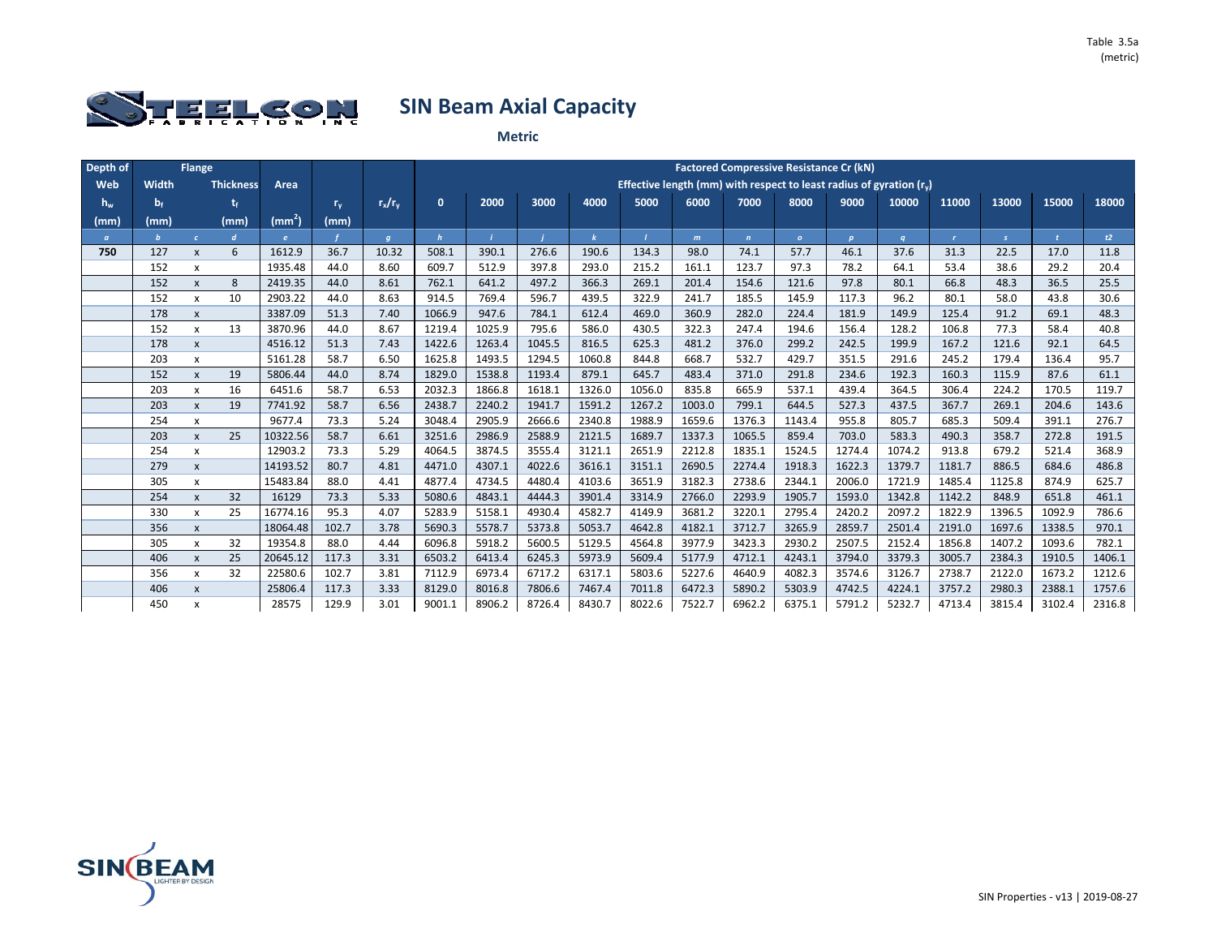

| Depth of |                         | <b>Flange</b>             |                  |                    |                |              |                  |                  |                  |                  |                  |                                                                     | <b>Factored Compressive Resistance Cr (kN)</b> |                  |                  |                  |                  |                  |                  |                  |
|----------|-------------------------|---------------------------|------------------|--------------------|----------------|--------------|------------------|------------------|------------------|------------------|------------------|---------------------------------------------------------------------|------------------------------------------------|------------------|------------------|------------------|------------------|------------------|------------------|------------------|
| Web      | Width                   |                           | <b>Thickness</b> | Area               |                |              |                  |                  |                  |                  |                  | Effective length (mm) with respect to least radius of gyration (r.) |                                                |                  |                  |                  |                  |                  |                  |                  |
| $h_w$    | $\mathbf{b}_{\text{f}}$ |                           | t.               |                    | $r_{v}$        | $r_x/r_v$    | $\mathbf{0}$     | 2000             | 3000             | 4000             | 5000             | 6000                                                                | 7000                                           | 8000             | 9000             | 10000            | 11000            | 13000            | 15000            | 18000            |
| (mm)     | (mm)                    |                           | (mm)             | $\text{(mm}^2)$    | (mm)           |              |                  |                  |                  |                  |                  |                                                                     |                                                |                  |                  |                  |                  |                  |                  |                  |
| $\sigma$ | $\overline{h}$          | $\epsilon$                | $\mathbf{d}$     |                    |                | $\alpha$     | $\overline{h}$   |                  |                  | $\mathbf{k}$     |                  | m                                                                   | $\mathbf{n}$                                   | $\overline{a}$   | $\overline{p}$   | $\overline{a}$   |                  | $\mathcal{S}$    |                  | t2               |
| 750      | 127                     | $\pmb{\mathsf{x}}$        | 6                | 1612.9             | 36.7           | 10.32        | 508.1            | 390.1            | 276.6            | 190.6            | 134.3            | 98.0                                                                | 74.1                                           | 57.7             | 46.1             | 37.6             | 31.3             | 22.5             | 17.0             | 11.8             |
|          | 152                     | x                         |                  | 1935.48            | 44.0           | 8.60         | 609.7            | 512.9            | 397.8            | 293.0            | 215.2            | 161.1                                                               | 123.7                                          | 97.3             | 78.2             | 64.1             | 53.4             | 38.6             | 29.2             | 20.4             |
|          | 152                     | $\pmb{\times}$            | 8                | 2419.35            | 44.0           | 8.61         | 762.1            | 641.2            | 497.2            | 366.3            | 269.1            | 201.4                                                               | 154.6                                          | 121.6            | 97.8             | 80.1             | 66.8             | 48.3             | 36.5             | 25.5             |
|          | 152                     | X                         | 10               | 2903.22            | 44.0           | 8.63         | 914.5            | 769.4            | 596.7            | 439.5            | 322.9            | 241.7                                                               | 185.5                                          | 145.9            | 117.3            | 96.2             | 80.1             | 58.0             | 43.8             | 30.6             |
|          | 178                     | X                         |                  | 3387.09            | 51.3           | 7.40         | 1066.9           | 947.6            | 784.1            | 612.4            | 469.0            | 360.9                                                               | 282.0                                          | 224.4            | 181.9            | 149.9            | 125.4            | 91.2             | 69.1             | 48.3             |
|          | 152                     | $\mathsf{x}$              | 13               | 3870.96            | 44.0           | 8.67         | 1219.4           | 1025.9           | 795.6            | 586.0            | 430.5            | 322.3                                                               | 247.4                                          | 194.6            | 156.4            | 128.2            | 106.8            | 77.3             | 58.4             | 40.8             |
|          | 178                     | $\pmb{\mathsf{x}}$        |                  | 4516.12            | 51.3           | 7.43         | 1422.6           | 1263.4           | 1045.5           | 816.5            | 625.3            | 481.2                                                               | 376.0                                          | 299.2            | 242.5            | 199.9            | 167.2            | 121.6            | 92.1             | 64.5             |
|          | 203                     | x                         |                  | 5161.28            | 58.7           | 6.50         | 1625.8           | 1493.5           | 1294.5           | 1060.8           | 844.8            | 668.7                                                               | 532.7                                          | 429.7            | 351.5            | 291.6            | 245.2            | 179.4            | 136.4            | 95.7             |
|          | 152                     | $\pmb{\mathsf{x}}$        | 19               | 5806.44            | 44.0           | 8.74         | 1829.0           | 1538.8           | 1193.4           | 879.1            | 645.7            | 483.4                                                               | 371.0                                          | 291.8            | 234.6            | 192.3            | 160.3            | 115.9            | 87.6             | 61.1             |
|          | 203                     | $\mathsf{x}$              | 16               | 6451.6             | 58.7           | 6.53         | 2032.3           | 1866.8           | 1618.1           | 1326.0           | 1056.0           | 835.8                                                               | 665.9                                          | 537.1            | 439.4            | 364.5            | 306.4            | 224.2            | 170.5            | 119.7            |
|          | 203                     | $\pmb{\mathsf{x}}$        | 19               | 7741.92            | 58.7           | 6.56         | 2438.7           | 2240.2           | 1941.7           | 1591.2           | 1267.2           | 1003.0                                                              | 799.1                                          | 644.5            | 527.3            | 437.5            | 367.7            | 269.1            | 204.6            | 143.6            |
|          | 254                     | X                         |                  | 9677.4             | 73.3           | 5.24         | 3048.4           | 2905.9           | 2666.6           | 2340.8           | 1988.9           | 1659.6                                                              | 1376.3                                         | 1143.4           | 955.8            | 805.7            | 685.3            | 509.4            | 391.1            | 276.7            |
|          | 203                     | $\pmb{\mathsf{X}}$        | 25               | 10322.56           | 58.7           | 6.61         | 3251.6           | 2986.9           | 2588.9           | 2121.5           | 1689.7           | 1337.3                                                              | 1065.5                                         | 859.4            | 703.0            | 583.3            | 490.3            | 358.7            | 272.8            | 191.5            |
|          | 254                     | X                         |                  | 12903.2            | 73.3           | 5.29         | 4064.5           | 3874.5           | 3555.4           | 3121.1           | 2651.9           | 2212.8                                                              | 1835.1                                         | 1524.5           | 1274.4           | 1074.2           | 913.8            | 679.2            | 521.4            | 368.9            |
|          | 279                     | $\pmb{\mathsf{x}}$        |                  | 14193.52           | 80.7           | 4.81         | 4471.0           | 4307.1           | 4022.6           | 3616.1           | 3151.1           | 2690.5                                                              | 2274.4                                         | 1918.3           | 1622.3           | 1379.7           | 1181.7           | 886.5            | 684.6            | 486.8            |
|          | 305                     | X                         |                  | 15483.84           | 88.0           | 4.41         | 4877.4           | 4734.5           | 4480.4           | 4103.6           | 3651.9           | 3182.3                                                              | 2738.6                                         | 2344.1           | 2006.0           | 1721.9           | 1485.4           | 1125.8           | 874.9            | 625.7            |
|          | 254                     | X                         | 32               | 16129              | 73.3           | 5.33         | 5080.6           | 4843.1           | 4444.3           | 3901.4           | 3314.9           | 2766.0                                                              | 2293.9                                         | 1905.7           | 1593.0           | 1342.8           | 1142.2           | 848.9            | 651.8            | 461.1            |
|          | 330                     | $\mathsf{x}$              | 25               | 16774.16           | 95.3           | 4.07         | 5283.9           | 5158.1           | 4930.4           | 4582.7           | 4149.9           | 3681.2                                                              | 3220.1                                         | 2795.4           | 2420.2           | 2097.2           | 1822.9           | 1396.5           | 1092.9           | 786.6            |
|          | 356                     | X                         |                  | 18064.48           | 102.7          | 3.78         | 5690.3           | 5578.7           | 5373.8           | 5053.7           | 4642.8           | 4182.1                                                              | 3712.7                                         | 3265.9           | 2859.7           | 2501.4           | 2191.0           | 1697.6           | 1338.5           | 970.1            |
|          | 305                     | $\mathsf{x}$              | 32               | 19354.8            | 88.0           | 4.44         | 6096.8           | 5918.2           | 5600.5           | 5129.5           | 4564.8           | 3977.9                                                              | 3423.3                                         | 2930.2           | 2507.5           | 2152.4           | 1856.8           | 1407.2           | 1093.6           | 782.1            |
|          | 406                     | $\mathsf{x}$              | 25               | 20645.12           | 117.3          | 3.31         | 6503.2           | 6413.4           | 6245.3           | 5973.9           | 5609.4           | 5177.9                                                              | 4712.1                                         | 4243.1           | 3794.0           | 3379.3           | 3005.7           | 2384.3           | 1910.5           | 1406.1           |
|          | 356<br>406              | X                         | 32               | 22580.6<br>25806.4 | 102.7<br>117.3 | 3.81<br>3.33 | 7112.9<br>8129.0 | 6973.4<br>8016.8 | 6717.2<br>7806.6 | 6317.1<br>7467.4 | 5803.6<br>7011.8 | 5227.6<br>6472.3                                                    | 4640.9<br>5890.2                               | 4082.3<br>5303.9 | 3574.6<br>4742.5 | 3126.7<br>4224.1 | 2738.7<br>3757.2 | 2122.0<br>2980.3 | 1673.2<br>2388.1 | 1212.6<br>1757.6 |
|          | 450                     | $\pmb{\mathsf{x}}$        |                  |                    | 129.9          | 3.01         | 9001.1           | 8906.2           | 8726.4           |                  |                  | 7522.7                                                              | 6962.2                                         |                  |                  | 5232.7           | 4713.4           | 3815.4           | 3102.4           |                  |
|          |                         | $\boldsymbol{\mathsf{x}}$ |                  | 28575              |                |              |                  |                  |                  | 8430.7           | 8022.6           |                                                                     |                                                | 6375.1           | 5791.2           |                  |                  |                  |                  | 2316.8           |

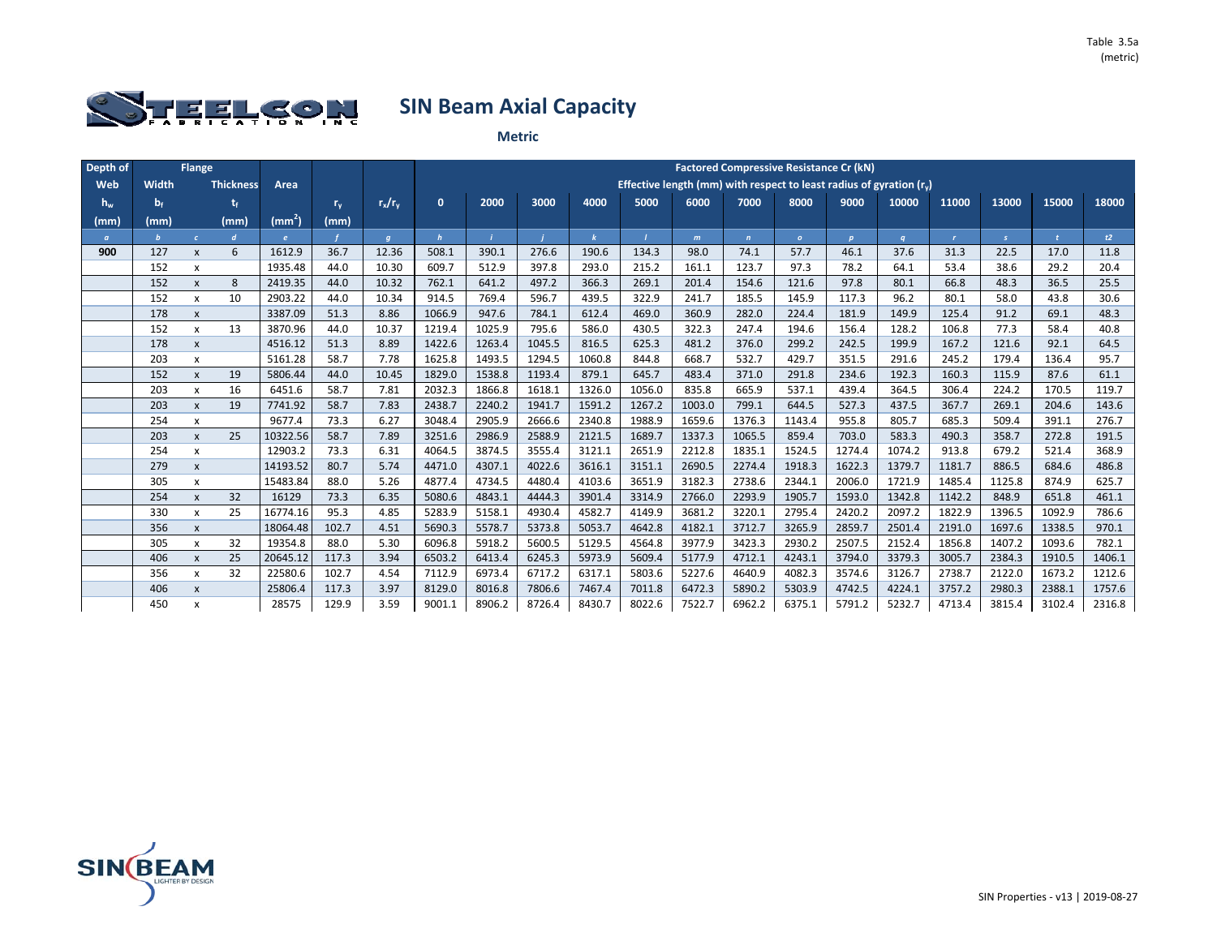

| Depth of |                         | <b>Flange</b>      |                  |                    |         |                |                |        |                  |                  |        |                  | <b>Factored Compressive Resistance Cr (kN)</b>                      |                  |                  |        |                  |                  |        |                  |
|----------|-------------------------|--------------------|------------------|--------------------|---------|----------------|----------------|--------|------------------|------------------|--------|------------------|---------------------------------------------------------------------|------------------|------------------|--------|------------------|------------------|--------|------------------|
| Web      | Width                   |                    | <b>Thickness</b> | Area               |         |                |                |        |                  |                  |        |                  | Effective length (mm) with respect to least radius of gyration (r.) |                  |                  |        |                  |                  |        |                  |
| $h_w$    | $\mathbf{b}_{\text{f}}$ |                    | t,               |                    | $r_{v}$ | $r_x/r_v$      | $\mathbf{0}$   | 2000   | 3000             | 4000             | 5000   | 6000             | 7000                                                                | 8000             | 9000             | 10000  | 11000            | 13000            | 15000  | 18000            |
| (mm)     | (mm)                    |                    | (mm)             | (mm <sup>2</sup> ) | (mm)    |                |                |        |                  |                  |        |                  |                                                                     |                  |                  |        |                  |                  |        |                  |
| $\sigma$ |                         | $\epsilon$         | $\boldsymbol{d}$ | $\epsilon$         |         | $\overline{q}$ | $\overline{h}$ |        |                  | $\mathbf{k}$     |        | m                | $\mathbf{n}$                                                        | $\overline{a}$   | $\boldsymbol{p}$ | q      | $\mathbf{r}$     | $\mathcal{S}$    |        | t2               |
| 900      | 127                     | $\pmb{\mathsf{x}}$ | 6                | 1612.9             | 36.7    | 12.36          | 508.1          | 390.1  | 276.6            | 190.6            | 134.3  | 98.0             | 74.1                                                                | 57.7             | 46.1             | 37.6   | 31.3             | 22.5             | 17.0   | 11.8             |
|          | 152                     | $\mathsf{x}$       |                  | 1935.48            | 44.0    | 10.30          | 609.7          | 512.9  | 397.8            | 293.0            | 215.2  | 161.1            | 123.7                                                               | 97.3             | 78.2             | 64.1   | 53.4             | 38.6             | 29.2   | 20.4             |
|          | 152                     | $\pmb{\mathsf{x}}$ | 8                | 2419.35            | 44.0    | 10.32          | 762.1          | 641.2  | 497.2            | 366.3            | 269.1  | 201.4            | 154.6                                                               | 121.6            | 97.8             | 80.1   | 66.8             | 48.3             | 36.5   | 25.5             |
|          | 152                     | $\mathsf{x}$       | 10               | 2903.22            | 44.0    | 10.34          | 914.5          | 769.4  | 596.7            | 439.5            | 322.9  | 241.7            | 185.5                                                               | 145.9            | 117.3            | 96.2   | 80.1             | 58.0             | 43.8   | 30.6             |
|          | 178                     | X                  |                  | 3387.09            | 51.3    | 8.86           | 1066.9         | 947.6  | 784.1            | 612.4            | 469.0  | 360.9            | 282.0                                                               | 224.4            | 181.9            | 149.9  | 125.4            | 91.2             | 69.1   | 48.3             |
|          | 152                     | $\mathsf{x}$       | 13               | 3870.96            | 44.0    | 10.37          | 1219.4         | 1025.9 | 795.6            | 586.0            | 430.5  | 322.3            | 247.4                                                               | 194.6            | 156.4            | 128.2  | 106.8            | 77.3             | 58.4   | 40.8             |
|          | 178                     | $\pmb{\mathsf{x}}$ |                  | 4516.12            | 51.3    | 8.89           | 1422.6         | 1263.4 | 1045.5           | 816.5            | 625.3  | 481.2            | 376.0                                                               | 299.2            | 242.5            | 199.9  | 167.2            | 121.6            | 92.1   | 64.5             |
|          | 203                     | X                  |                  | 5161.28            | 58.7    | 7.78           | 1625.8         | 1493.5 | 1294.5           | 1060.8           | 844.8  | 668.7            | 532.7                                                               | 429.7            | 351.5            | 291.6  | 245.2            | 179.4            | 136.4  | 95.7             |
|          | 152                     | $\mathsf{x}$       | 19               | 5806.44            | 44.0    | 10.45          | 1829.0         | 1538.8 | 1193.4           | 879.1            | 645.7  | 483.4            | 371.0                                                               | 291.8            | 234.6            | 192.3  | 160.3            | 115.9            | 87.6   | 61.1             |
|          | 203                     | $\mathsf{x}$       | 16               | 6451.6             | 58.7    | 7.81           | 2032.3         | 1866.8 | 1618.1           | 1326.0           | 1056.0 | 835.8            | 665.9                                                               | 537.1            | 439.4            | 364.5  | 306.4            | 224.2            | 170.5  | 119.7            |
|          | 203                     | $\mathsf{x}$       | 19               | 7741.92            | 58.7    | 7.83           | 2438.7         | 2240.2 | 1941.7           | 1591.2           | 1267.2 | 1003.0           | 799.1                                                               | 644.5            | 527.3            | 437.5  | 367.7            | 269.1            | 204.6  | 143.6            |
|          | 254                     | x                  |                  | 9677.4             | 73.3    | 6.27           | 3048.4         | 2905.9 | 2666.6           | 2340.8           | 1988.9 | 1659.6           | 1376.3                                                              | 1143.4           | 955.8            | 805.7  | 685.3            | 509.4            | 391.1  | 276.7            |
|          | 203                     | $\pmb{\mathsf{X}}$ | 25               | 10322.56           | 58.7    | 7.89           | 3251.6         | 2986.9 | 2588.9           | 2121.5           | 1689.7 | 1337.3           | 1065.5                                                              | 859.4            | 703.0            | 583.3  | 490.3            | 358.7            | 272.8  | 191.5            |
|          | 254                     | X                  |                  | 12903.2            | 73.3    | 6.31           | 4064.5         | 3874.5 | 3555.4           | 3121.1           | 2651.9 | 2212.8           | 1835.1                                                              | 1524.5           | 1274.4           | 1074.2 | 913.8            | 679.2            | 521.4  | 368.9            |
|          | 279                     | $\mathsf{x}$       |                  | 14193.52           | 80.7    | 5.74           | 4471.0         | 4307.1 | 4022.6           | 3616.1           | 3151.1 | 2690.5           | 2274.4                                                              | 1918.3           | 1622.3           | 1379.7 | 1181.7           | 886.5            | 684.6  | 486.8            |
|          | 305                     | $\mathsf{x}$       |                  | 15483.84           | 88.0    | 5.26           | 4877.4         | 4734.5 | 4480.4           | 4103.6           | 3651.9 | 3182.3           | 2738.6                                                              | 2344.1           | 2006.0           | 1721.9 | 1485.4           | 1125.8           | 874.9  | 625.7            |
|          | 254                     | $\mathsf{x}$       | 32               | 16129              | 73.3    | 6.35           | 5080.6         | 4843.1 | 4444.3           | 3901.4           | 3314.9 | 2766.0           | 2293.9                                                              | 1905.7           | 1593.0           | 1342.8 | 1142.2           | 848.9            | 651.8  | 461.1            |
|          | 330                     | $\mathsf{x}$       | 25               | 16774.16           | 95.3    | 4.85           | 5283.9         | 5158.1 | 4930.4           | 4582.7           | 4149.9 | 3681.2           | 3220.1                                                              | 2795.4           | 2420.2           | 2097.2 | 1822.9           | 1396.5           | 1092.9 | 786.6            |
|          | 356                     | X                  |                  | 18064.48           | 102.7   | 4.51           | 5690.3         | 5578.7 | 5373.8           | 5053.7           | 4642.8 | 4182.1           | 3712.7                                                              | 3265.9           | 2859.7           | 2501.4 | 2191.0           | 1697.6           | 1338.5 | 970.1            |
|          | 305                     | $\mathsf{x}$       | 32               | 19354.8            | 88.0    | 5.30           | 6096.8         | 5918.2 | 5600.5           | 5129.5           | 4564.8 | 3977.9           | 3423.3<br>4712.1                                                    | 2930.2           | 2507.5           | 2152.4 | 1856.8           | 1407.2           | 1093.6 | 782.1            |
|          | 406                     | $\mathsf{x}$       | 25               | 20645.12           | 117.3   | 3.94           | 6503.2         | 6413.4 | 6245.3           | 5973.9           | 5609.4 | 5177.9           |                                                                     | 4243.1           | 3794.0           | 3379.3 | 3005.7<br>2738.7 | 2384.3           | 1910.5 | 1406.1           |
|          | 356                     | x                  | 32               | 22580.6            | 102.7   | 4.54           | 7112.9         | 6973.4 | 6717.2<br>7806.6 | 6317.1<br>7467.4 | 5803.6 | 5227.6<br>6472.3 | 4640.9<br>5890.2                                                    | 4082.3<br>5303.9 | 3574.6<br>4742.5 | 3126.7 | 3757.2           | 2122.0<br>2980.3 | 1673.2 | 1212.6<br>1757.6 |
|          | 406                     | X                  |                  | 25806.4            | 117.3   | 3.97           | 8129.0         | 8016.8 |                  |                  | 7011.8 |                  |                                                                     |                  |                  | 4224.1 |                  |                  | 2388.1 |                  |
|          | 450                     | $\pmb{\times}$     |                  | 28575              | 129.9   | 3.59           | 9001.1         | 8906.2 | 8726.4           | 8430.7           | 8022.6 | 7522.7           | 6962.2                                                              | 6375.1           | 5791.2           | 5232.7 | 4713.4           | 3815.4           | 3102.4 | 2316.8           |

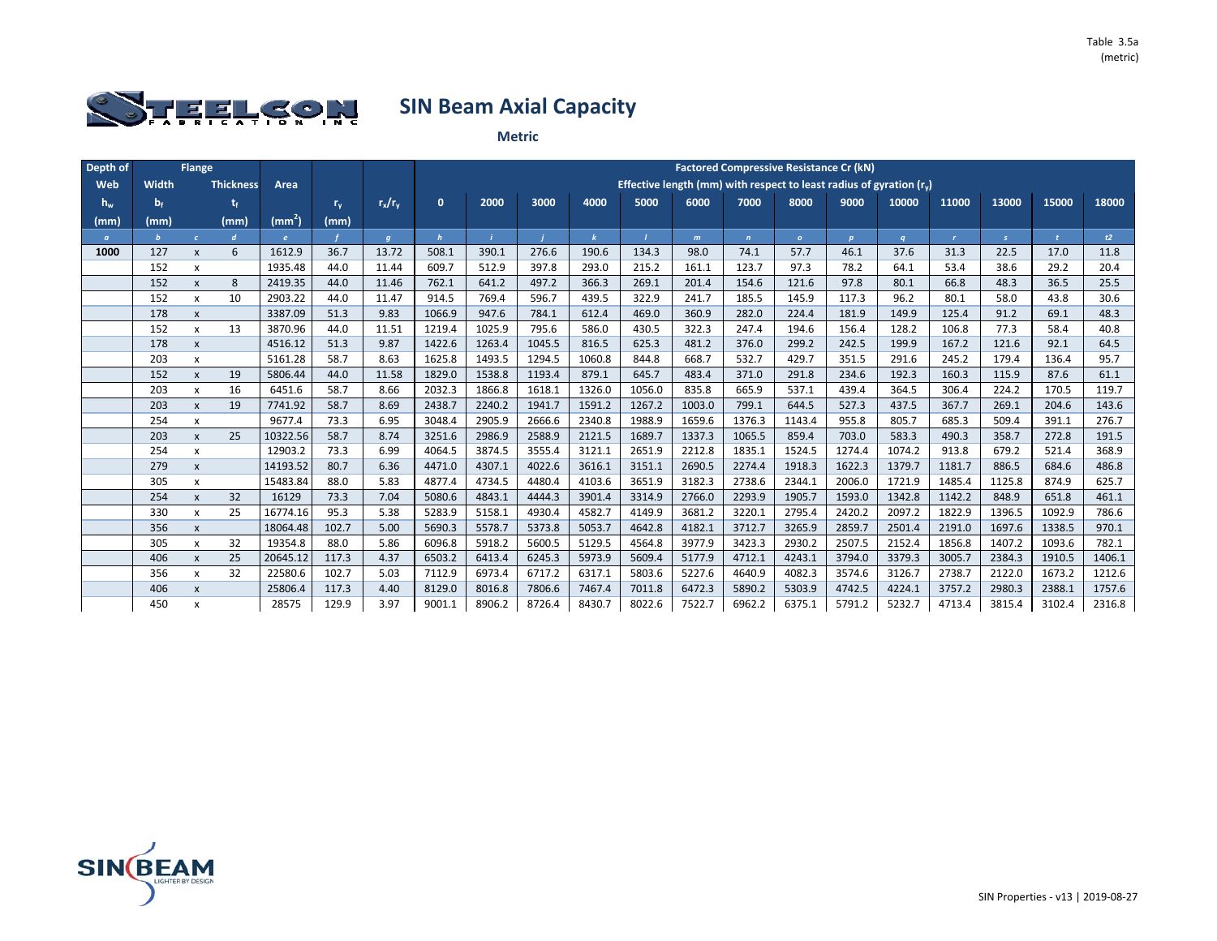

| Depth of |                         | <b>Flange</b>      |                  |                    |         |                |                |        |        |              |        |        | <b>Factored Compressive Resistance Cr (kN)</b>                      |                |                  |        |              |               |        |        |
|----------|-------------------------|--------------------|------------------|--------------------|---------|----------------|----------------|--------|--------|--------------|--------|--------|---------------------------------------------------------------------|----------------|------------------|--------|--------------|---------------|--------|--------|
| Web      | Width                   |                    | <b>Thickness</b> | Area               |         |                |                |        |        |              |        |        | Effective length (mm) with respect to least radius of gyration (r.) |                |                  |        |              |               |        |        |
| $h_w$    | $\mathbf{b}_{\text{f}}$ |                    | t,               |                    | $r_{v}$ | $r_x/r_v$      | $\mathbf{0}$   | 2000   | 3000   | 4000         | 5000   | 6000   | 7000                                                                | 8000           | 9000             | 10000  | 11000        | 13000         | 15000  | 18000  |
| (mm)     | (mm)                    |                    | (mm)             | (mm <sup>2</sup> ) | (mm)    |                |                |        |        |              |        |        |                                                                     |                |                  |        |              |               |        |        |
| $\sigma$ |                         | $\epsilon$         | $\boldsymbol{d}$ | $\epsilon$         |         | $\overline{q}$ | $\overline{h}$ |        |        | $\mathbf{k}$ |        | m      | $\mathbf{n}$                                                        | $\overline{a}$ | $\boldsymbol{p}$ | q      | $\mathbf{r}$ | $\mathcal{S}$ |        | t2     |
| 1000     | 127                     | $\pmb{\mathsf{x}}$ | 6                | 1612.9             | 36.7    | 13.72          | 508.1          | 390.1  | 276.6  | 190.6        | 134.3  | 98.0   | 74.1                                                                | 57.7           | 46.1             | 37.6   | 31.3         | 22.5          | 17.0   | 11.8   |
|          | 152                     | $\mathsf{x}$       |                  | 1935.48            | 44.0    | 11.44          | 609.7          | 512.9  | 397.8  | 293.0        | 215.2  | 161.1  | 123.7                                                               | 97.3           | 78.2             | 64.1   | 53.4         | 38.6          | 29.2   | 20.4   |
|          | 152                     | $\pmb{\mathsf{x}}$ | 8                | 2419.35            | 44.0    | 11.46          | 762.1          | 641.2  | 497.2  | 366.3        | 269.1  | 201.4  | 154.6                                                               | 121.6          | 97.8             | 80.1   | 66.8         | 48.3          | 36.5   | 25.5   |
|          | 152                     | $\mathsf{x}$       | 10               | 2903.22            | 44.0    | 11.47          | 914.5          | 769.4  | 596.7  | 439.5        | 322.9  | 241.7  | 185.5                                                               | 145.9          | 117.3            | 96.2   | 80.1         | 58.0          | 43.8   | 30.6   |
|          | 178                     | X                  |                  | 3387.09            | 51.3    | 9.83           | 1066.9         | 947.6  | 784.1  | 612.4        | 469.0  | 360.9  | 282.0                                                               | 224.4          | 181.9            | 149.9  | 125.4        | 91.2          | 69.1   | 48.3   |
|          | 152                     | $\mathsf{x}$       | 13               | 3870.96            | 44.0    | 11.51          | 1219.4         | 1025.9 | 795.6  | 586.0        | 430.5  | 322.3  | 247.4                                                               | 194.6          | 156.4            | 128.2  | 106.8        | 77.3          | 58.4   | 40.8   |
|          | 178                     | $\pmb{\mathsf{x}}$ |                  | 4516.12            | 51.3    | 9.87           | 1422.6         | 1263.4 | 1045.5 | 816.5        | 625.3  | 481.2  | 376.0                                                               | 299.2          | 242.5            | 199.9  | 167.2        | 121.6         | 92.1   | 64.5   |
|          | 203                     | X                  |                  | 5161.28            | 58.7    | 8.63           | 1625.8         | 1493.5 | 1294.5 | 1060.8       | 844.8  | 668.7  | 532.7                                                               | 429.7          | 351.5            | 291.6  | 245.2        | 179.4         | 136.4  | 95.7   |
|          | 152                     | X                  | 19               | 5806.44            | 44.0    | 11.58          | 1829.0         | 1538.8 | 1193.4 | 879.1        | 645.7  | 483.4  | 371.0                                                               | 291.8          | 234.6            | 192.3  | 160.3        | 115.9         | 87.6   | 61.1   |
|          | 203                     | $\mathsf{x}$       | 16               | 6451.6             | 58.7    | 8.66           | 2032.3         | 1866.8 | 1618.1 | 1326.0       | 1056.0 | 835.8  | 665.9                                                               | 537.1          | 439.4            | 364.5  | 306.4        | 224.2         | 170.5  | 119.7  |
|          | 203                     | $\mathsf{x}$       | 19               | 7741.92            | 58.7    | 8.69           | 2438.7         | 2240.2 | 1941.7 | 1591.2       | 1267.2 | 1003.0 | 799.1                                                               | 644.5          | 527.3            | 437.5  | 367.7        | 269.1         | 204.6  | 143.6  |
|          | 254                     | x                  |                  | 9677.4             | 73.3    | 6.95           | 3048.4         | 2905.9 | 2666.6 | 2340.8       | 1988.9 | 1659.6 | 1376.3                                                              | 1143.4         | 955.8            | 805.7  | 685.3        | 509.4         | 391.1  | 276.7  |
|          | 203                     | $\pmb{\mathsf{X}}$ | 25               | 10322.56           | 58.7    | 8.74           | 3251.6         | 2986.9 | 2588.9 | 2121.5       | 1689.7 | 1337.3 | 1065.5                                                              | 859.4          | 703.0            | 583.3  | 490.3        | 358.7         | 272.8  | 191.5  |
|          | 254                     | X                  |                  | 12903.2            | 73.3    | 6.99           | 4064.5         | 3874.5 | 3555.4 | 3121.1       | 2651.9 | 2212.8 | 1835.1                                                              | 1524.5         | 1274.4           | 1074.2 | 913.8        | 679.2         | 521.4  | 368.9  |
|          | 279                     | $\mathsf{x}$       |                  | 14193.52           | 80.7    | 6.36           | 4471.0         | 4307.1 | 4022.6 | 3616.1       | 3151.1 | 2690.5 | 2274.4                                                              | 1918.3         | 1622.3           | 1379.7 | 1181.7       | 886.5         | 684.6  | 486.8  |
|          | 305                     | $\mathsf{x}$       |                  | 15483.84           | 88.0    | 5.83           | 4877.4         | 4734.5 | 4480.4 | 4103.6       | 3651.9 | 3182.3 | 2738.6                                                              | 2344.1         | 2006.0           | 1721.9 | 1485.4       | 1125.8        | 874.9  | 625.7  |
|          | 254                     | $\mathsf{x}$       | 32               | 16129              | 73.3    | 7.04           | 5080.6         | 4843.1 | 4444.3 | 3901.4       | 3314.9 | 2766.0 | 2293.9                                                              | 1905.7         | 1593.0           | 1342.8 | 1142.2       | 848.9         | 651.8  | 461.1  |
|          | 330                     | $\mathsf{x}$       | 25               | 16774.16           | 95.3    | 5.38           | 5283.9         | 5158.1 | 4930.4 | 4582.7       | 4149.9 | 3681.2 | 3220.1                                                              | 2795.4         | 2420.2           | 2097.2 | 1822.9       | 1396.5        | 1092.9 | 786.6  |
|          | 356                     | X                  |                  | 18064.48           | 102.7   | 5.00           | 5690.3         | 5578.7 | 5373.8 | 5053.7       | 4642.8 | 4182.1 | 3712.7                                                              | 3265.9         | 2859.7           | 2501.4 | 2191.0       | 1697.6        | 1338.5 | 970.1  |
|          | 305                     | $\mathsf{x}$       | 32               | 19354.8            | 88.0    | 5.86           | 6096.8         | 5918.2 | 5600.5 | 5129.5       | 4564.8 | 3977.9 | 3423.3                                                              | 2930.2         | 2507.5           | 2152.4 | 1856.8       | 1407.2        | 1093.6 | 782.1  |
|          | 406                     | $\mathsf{x}$       | 25               | 20645.12           | 117.3   | 4.37           | 6503.2         | 6413.4 | 6245.3 | 5973.9       | 5609.4 | 5177.9 | 4712.1                                                              | 4243.1         | 3794.0           | 3379.3 | 3005.7       | 2384.3        | 1910.5 | 1406.1 |
|          | 356                     | x                  | 32               | 22580.6            | 102.7   | 5.03           | 7112.9         | 6973.4 | 6717.2 | 6317.1       | 5803.6 | 5227.6 | 4640.9                                                              | 4082.3         | 3574.6           | 3126.7 | 2738.7       | 2122.0        | 1673.2 | 1212.6 |
|          | 406                     | X                  |                  | 25806.4            | 117.3   | 4.40           | 8129.0         | 8016.8 | 7806.6 | 7467.4       | 7011.8 | 6472.3 | 5890.2                                                              | 5303.9         | 4742.5           | 4224.1 | 3757.2       | 2980.3        | 2388.1 | 1757.6 |
|          | 450                     | $\pmb{\times}$     |                  | 28575              | 129.9   | 3.97           | 9001.1         | 8906.2 | 8726.4 | 8430.7       | 8022.6 | 7522.7 | 6962.2                                                              | 6375.1         | 5791.2           | 5232.7 | 4713.4       | 3815.4        | 3102.4 | 2316.8 |

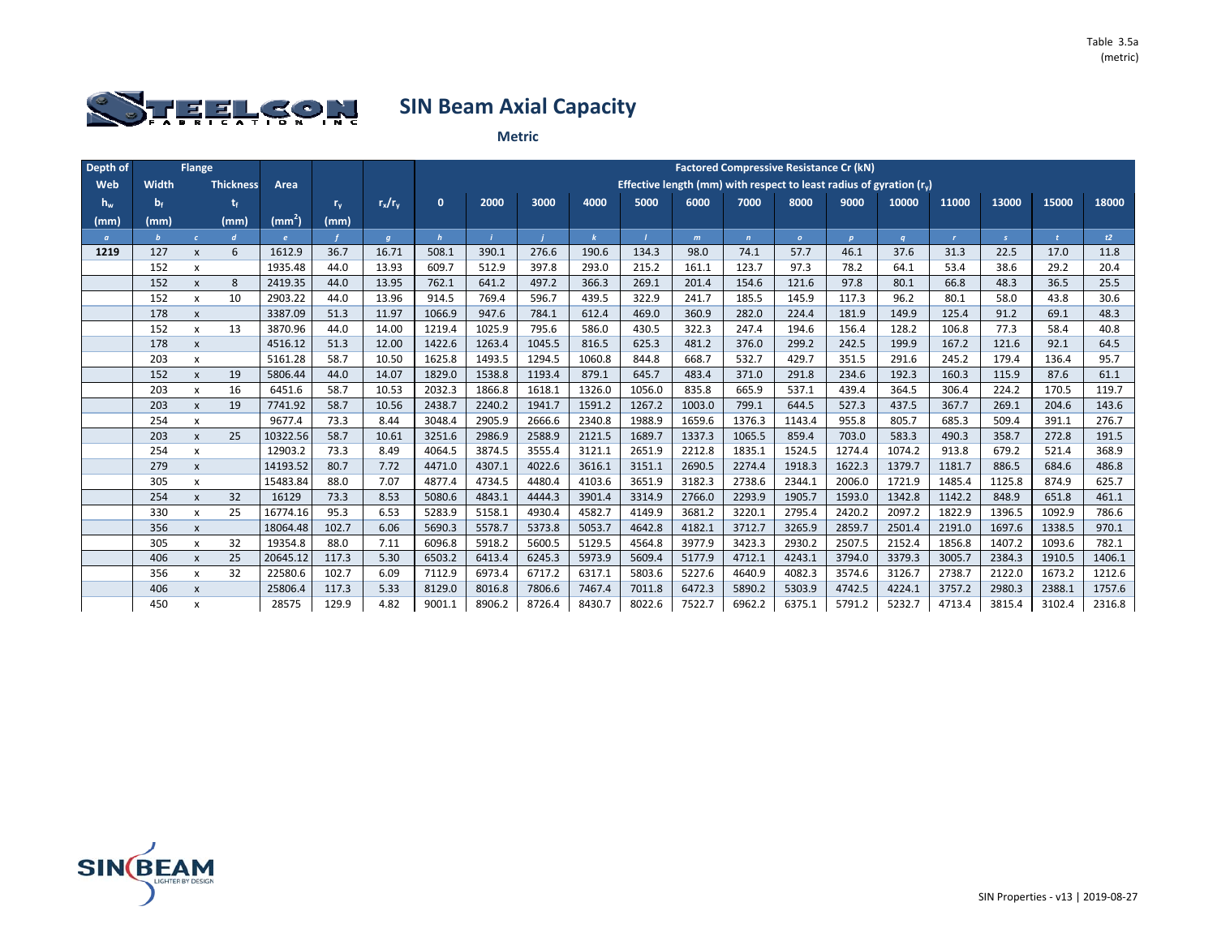

| Depth of |                         | <b>Flange</b>      |                  |                    |                |                |                  |                  |                  |                  |                  |                  | <b>Factored Compressive Resistance Cr (kN)</b>                      |                  |                  |                  |                  |                  |                  |                  |
|----------|-------------------------|--------------------|------------------|--------------------|----------------|----------------|------------------|------------------|------------------|------------------|------------------|------------------|---------------------------------------------------------------------|------------------|------------------|------------------|------------------|------------------|------------------|------------------|
| Web      | Width                   |                    | <b>Thickness</b> | Area               |                |                |                  |                  |                  |                  |                  |                  | Effective length (mm) with respect to least radius of gyration (r.) |                  |                  |                  |                  |                  |                  |                  |
| $h_w$    | $\mathbf{b}_{\text{f}}$ |                    | t,               |                    | $r_{v}$        | $r_x/r_v$      | $\mathbf{0}$     | 2000             | 3000             | 4000             | 5000             | 6000             | 7000                                                                | 8000             | 9000             | 10000            | 11000            | 13000            | 15000            | 18000            |
| (mm)     | (mm)                    |                    | (mm)             | (mm <sup>2</sup> ) | (mm)           |                |                  |                  |                  |                  |                  |                  |                                                                     |                  |                  |                  |                  |                  |                  |                  |
| $\sigma$ |                         | $\epsilon$         | $\boldsymbol{d}$ | $\epsilon$         |                | $\overline{q}$ | $\overline{h}$   |                  |                  | $\mathbf{k}$     |                  | m                | $\mathbf{n}$                                                        | $\overline{a}$   | $\boldsymbol{p}$ | q                | $\mathbf{r}$     | $\mathcal{S}$    |                  | t2               |
| 1219     | 127                     | $\pmb{\mathsf{x}}$ | 6                | 1612.9             | 36.7           | 16.71          | 508.1            | 390.1            | 276.6            | 190.6            | 134.3            | 98.0             | 74.1                                                                | 57.7             | 46.1             | 37.6             | 31.3             | 22.5             | 17.0             | 11.8             |
|          | 152                     | $\mathsf{x}$       |                  | 1935.48            | 44.0           | 13.93          | 609.7            | 512.9            | 397.8            | 293.0            | 215.2            | 161.1            | 123.7                                                               | 97.3             | 78.2             | 64.1             | 53.4             | 38.6             | 29.2             | 20.4             |
|          | 152                     | $\pmb{\mathsf{x}}$ | 8                | 2419.35            | 44.0           | 13.95          | 762.1            | 641.2            | 497.2            | 366.3            | 269.1            | 201.4            | 154.6                                                               | 121.6            | 97.8             | 80.1             | 66.8             | 48.3             | 36.5             | 25.5             |
|          | 152                     | $\mathsf{x}$       | 10               | 2903.22            | 44.0           | 13.96          | 914.5            | 769.4            | 596.7            | 439.5            | 322.9            | 241.7            | 185.5                                                               | 145.9            | 117.3            | 96.2             | 80.1             | 58.0             | 43.8             | 30.6             |
|          | 178                     | X                  |                  | 3387.09            | 51.3           | 11.97          | 1066.9           | 947.6            | 784.1            | 612.4            | 469.0            | 360.9            | 282.0                                                               | 224.4            | 181.9            | 149.9            | 125.4            | 91.2             | 69.1             | 48.3             |
|          | 152                     | $\mathsf{x}$       | 13               | 3870.96            | 44.0           | 14.00          | 1219.4           | 1025.9           | 795.6            | 586.0            | 430.5            | 322.3            | 247.4                                                               | 194.6            | 156.4            | 128.2            | 106.8            | 77.3             | 58.4             | 40.8             |
|          | 178                     | $\pmb{\mathsf{x}}$ |                  | 4516.12            | 51.3           | 12.00          | 1422.6           | 1263.4           | 1045.5           | 816.5            | 625.3            | 481.2            | 376.0                                                               | 299.2            | 242.5            | 199.9            | 167.2            | 121.6            | 92.1             | 64.5             |
|          | 203                     | X                  |                  | 5161.28            | 58.7           | 10.50          | 1625.8           | 1493.5           | 1294.5           | 1060.8           | 844.8            | 668.7            | 532.7                                                               | 429.7            | 351.5            | 291.6            | 245.2            | 179.4            | 136.4            | 95.7             |
|          | 152                     | X                  | 19               | 5806.44            | 44.0           | 14.07          | 1829.0           | 1538.8           | 1193.4           | 879.1            | 645.7            | 483.4            | 371.0                                                               | 291.8            | 234.6            | 192.3            | 160.3            | 115.9            | 87.6             | 61.1             |
|          | 203                     | $\mathsf{x}$       | 16               | 6451.6             | 58.7           | 10.53          | 2032.3           | 1866.8           | 1618.1           | 1326.0           | 1056.0           | 835.8            | 665.9                                                               | 537.1            | 439.4            | 364.5            | 306.4            | 224.2            | 170.5            | 119.7            |
|          | 203                     | $\mathsf{x}$       | 19               | 7741.92            | 58.7           | 10.56          | 2438.7           | 2240.2           | 1941.7           | 1591.2           | 1267.2           | 1003.0           | 799.1                                                               | 644.5            | 527.3            | 437.5            | 367.7            | 269.1            | 204.6            | 143.6            |
|          | 254                     | x                  |                  | 9677.4             | 73.3           | 8.44           | 3048.4           | 2905.9           | 2666.6           | 2340.8           | 1988.9           | 1659.6           | 1376.3                                                              | 1143.4           | 955.8            | 805.7            | 685.3            | 509.4            | 391.1            | 276.7            |
|          | 203                     | $\pmb{\mathsf{X}}$ | 25               | 10322.56           | 58.7           | 10.61          | 3251.6           | 2986.9           | 2588.9           | 2121.5           | 1689.7           | 1337.3           | 1065.5                                                              | 859.4            | 703.0            | 583.3            | 490.3            | 358.7            | 272.8            | 191.5            |
|          | 254                     | X                  |                  | 12903.2            | 73.3           | 8.49           | 4064.5           | 3874.5           | 3555.4           | 3121.1           | 2651.9           | 2212.8           | 1835.1                                                              | 1524.5           | 1274.4           | 1074.2           | 913.8            | 679.2            | 521.4            | 368.9            |
|          | 279                     | $\mathsf{x}$       |                  | 14193.52           | 80.7           | 7.72           | 4471.0           | 4307.1           | 4022.6           | 3616.1           | 3151.1           | 2690.5           | 2274.4                                                              | 1918.3           | 1622.3           | 1379.7           | 1181.7           | 886.5            | 684.6            | 486.8            |
|          | 305                     | $\mathsf{x}$       |                  | 15483.84           | 88.0           | 7.07           | 4877.4           | 4734.5           | 4480.4           | 4103.6           | 3651.9           | 3182.3           | 2738.6                                                              | 2344.1           | 2006.0           | 1721.9           | 1485.4           | 1125.8           | 874.9            | 625.7            |
|          | 254                     | $\mathsf{x}$       | 32               | 16129              | 73.3           | 8.53           | 5080.6           | 4843.1           | 4444.3           | 3901.4           | 3314.9           | 2766.0           | 2293.9                                                              | 1905.7           | 1593.0           | 1342.8           | 1142.2           | 848.9            | 651.8            | 461.1            |
|          | 330                     | $\mathsf{x}$       | 25               | 16774.16           | 95.3           | 6.53           | 5283.9           | 5158.1           | 4930.4           | 4582.7           | 4149.9           | 3681.2           | 3220.1                                                              | 2795.4           | 2420.2           | 2097.2           | 1822.9           | 1396.5           | 1092.9           | 786.6            |
|          | 356                     | X                  |                  | 18064.48           | 102.7          | 6.06           | 5690.3           | 5578.7           | 5373.8           | 5053.7           | 4642.8           | 4182.1           | 3712.7                                                              | 3265.9           | 2859.7           | 2501.4           | 2191.0           | 1697.6           | 1338.5           | 970.1            |
|          | 305                     | $\mathsf{x}$       | 32               | 19354.8            | 88.0           | 7.11           | 6096.8           | 5918.2           | 5600.5           | 5129.5           | 4564.8           | 3977.9           | 3423.3<br>4712.1                                                    | 2930.2           | 2507.5           | 2152.4           | 1856.8           | 1407.2           | 1093.6           | 782.1            |
|          | 406<br>356              | $\mathsf{x}$       | 25<br>32         | 20645.12           | 117.3          | 5.30<br>6.09   | 6503.2<br>7112.9 | 6413.4<br>6973.4 | 6245.3<br>6717.2 | 5973.9           | 5609.4<br>5803.6 | 5177.9<br>5227.6 | 4640.9                                                              | 4243.1           | 3794.0<br>3574.6 | 3379.3<br>3126.7 | 3005.7<br>2738.7 | 2384.3<br>2122.0 | 1910.5           | 1406.1<br>1212.6 |
|          | 406                     | x                  |                  | 22580.6<br>25806.4 | 102.7<br>117.3 | 5.33           | 8129.0           | 8016.8           | 7806.6           | 6317.1<br>7467.4 | 7011.8           | 6472.3           | 5890.2                                                              | 4082.3<br>5303.9 | 4742.5           | 4224.1           | 3757.2           | 2980.3           | 1673.2<br>2388.1 | 1757.6           |
|          |                         | X                  |                  |                    |                |                |                  |                  |                  |                  |                  |                  |                                                                     |                  |                  |                  |                  |                  |                  |                  |
|          | 450                     | $\pmb{\times}$     |                  | 28575              | 129.9          | 4.82           | 9001.1           | 8906.2           | 8726.4           | 8430.7           | 8022.6           | 7522.7           | 6962.2                                                              | 6375.1           | 5791.2           | 5232.7           | 4713.4           | 3815.4           | 3102.4           | 2316.8           |